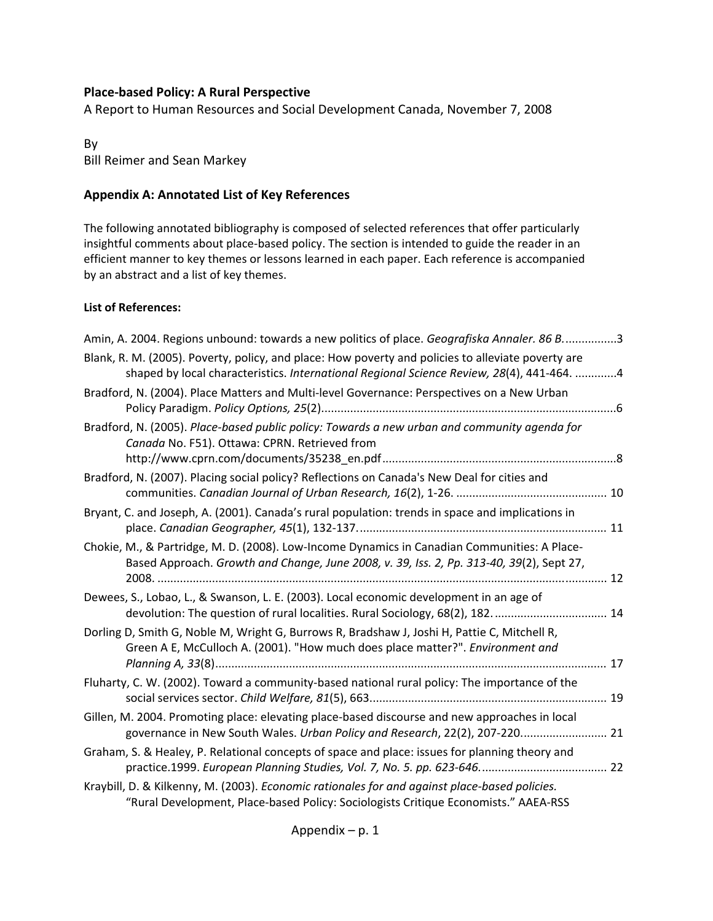## **Place‐based Policy: A Rural Perspective**

A Report to Human Resources and Social Development Canada, November 7, 2008

# By Bill Reimer and Sean Markey

## **Appendix A: Annotated List of Key References**

The following annotated bibliography is composed of selected references that offer particularly insightful comments about place‐based policy. The section is intended to guide the reader in an efficient manner to key themes or lessons learned in each paper. Each reference is accompanied by an abstract and a list of key themes.

## **List of References:**

| Amin, A. 2004. Regions unbound: towards a new politics of place. Geografiska Annaler. 86 B3                                                                                                     |  |
|-------------------------------------------------------------------------------------------------------------------------------------------------------------------------------------------------|--|
| Blank, R. M. (2005). Poverty, policy, and place: How poverty and policies to alleviate poverty are<br>shaped by local characteristics. International Regional Science Review, 28(4), 441-464. 4 |  |
| Bradford, N. (2004). Place Matters and Multi-level Governance: Perspectives on a New Urban                                                                                                      |  |
| Bradford, N. (2005). Place-based public policy: Towards a new urban and community agenda for<br>Canada No. F51). Ottawa: CPRN. Retrieved from                                                   |  |
|                                                                                                                                                                                                 |  |
| Bradford, N. (2007). Placing social policy? Reflections on Canada's New Deal for cities and                                                                                                     |  |
| Bryant, C. and Joseph, A. (2001). Canada's rural population: trends in space and implications in                                                                                                |  |
| Chokie, M., & Partridge, M. D. (2008). Low-Income Dynamics in Canadian Communities: A Place-<br>Based Approach. Growth and Change, June 2008, v. 39, Iss. 2, Pp. 313-40, 39(2), Sept 27,        |  |
| Dewees, S., Lobao, L., & Swanson, L. E. (2003). Local economic development in an age of<br>devolution: The question of rural localities. Rural Sociology, 68(2), 182 14                         |  |
| Dorling D, Smith G, Noble M, Wright G, Burrows R, Bradshaw J, Joshi H, Pattie C, Mitchell R,<br>Green A E, McCulloch A. (2001). "How much does place matter?". Environment and                  |  |
| Fluharty, C. W. (2002). Toward a community-based national rural policy: The importance of the                                                                                                   |  |
| Gillen, M. 2004. Promoting place: elevating place-based discourse and new approaches in local<br>governance in New South Wales. Urban Policy and Research, 22(2), 207-220 21                    |  |
| Graham, S. & Healey, P. Relational concepts of space and place: issues for planning theory and                                                                                                  |  |
| Kraybill, D. & Kilkenny, M. (2003). Economic rationales for and against place-based policies.                                                                                                   |  |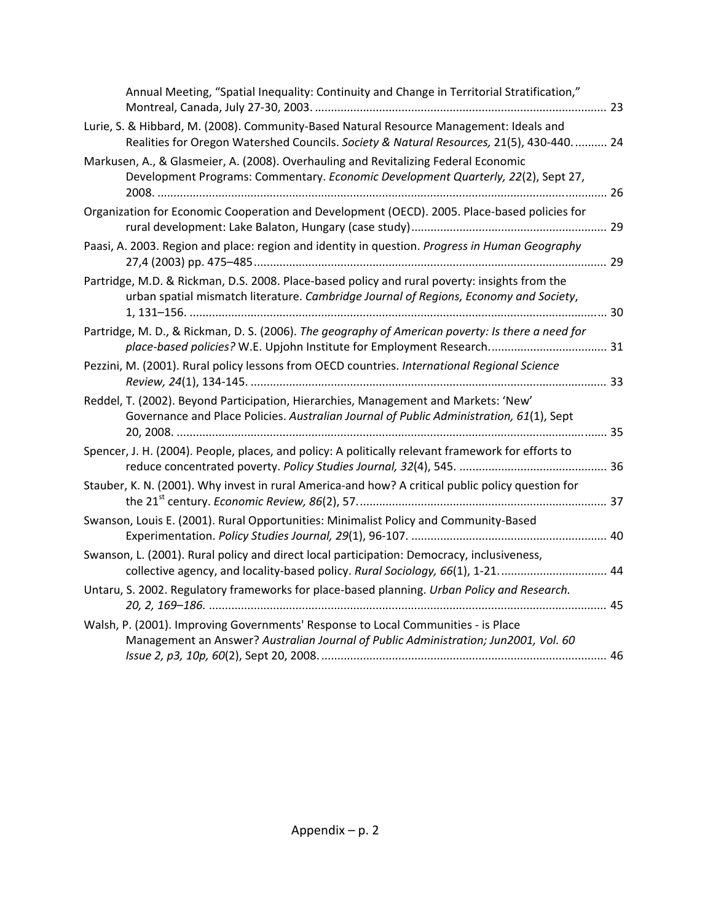| Annual Meeting, "Spatial Inequality: Continuity and Change in Territorial Stratification,"                                                                                             |  |
|----------------------------------------------------------------------------------------------------------------------------------------------------------------------------------------|--|
| Lurie, S. & Hibbard, M. (2008). Community-Based Natural Resource Management: Ideals and<br>Realities for Oregon Watershed Councils. Society & Natural Resources, 21(5), 430-440 24     |  |
| Markusen, A., & Glasmeier, A. (2008). Overhauling and Revitalizing Federal Economic<br>Development Programs: Commentary. Economic Development Quarterly, 22(2), Sept 27,               |  |
| Organization for Economic Cooperation and Development (OECD). 2005. Place-based policies for                                                                                           |  |
| Paasi, A. 2003. Region and place: region and identity in question. Progress in Human Geography                                                                                         |  |
| Partridge, M.D. & Rickman, D.S. 2008. Place-based policy and rural poverty: insights from the<br>urban spatial mismatch literature. Cambridge Journal of Regions, Economy and Society, |  |
| Partridge, M. D., & Rickman, D. S. (2006). The geography of American poverty: Is there a need for<br>place-based policies? W.E. Upjohn Institute for Employment Research 31            |  |
| Pezzini, M. (2001). Rural policy lessons from OECD countries. International Regional Science                                                                                           |  |
| Reddel, T. (2002). Beyond Participation, Hierarchies, Management and Markets: 'New'<br>Governance and Place Policies. Australian Journal of Public Administration, 61(1), Sept         |  |
| Spencer, J. H. (2004). People, places, and policy: A politically relevant framework for efforts to                                                                                     |  |
| Stauber, K. N. (2001). Why invest in rural America-and how? A critical public policy question for                                                                                      |  |
| Swanson, Louis E. (2001). Rural Opportunities: Minimalist Policy and Community-Based                                                                                                   |  |
| Swanson, L. (2001). Rural policy and direct local participation: Democracy, inclusiveness,<br>collective agency, and locality-based policy. Rural Sociology, 66(1), 1-21.  44          |  |
| Untaru, S. 2002. Regulatory frameworks for place-based planning. Urban Policy and Research.                                                                                            |  |
| Walsh, P. (2001). Improving Governments' Response to Local Communities - is Place<br>Management an Answer? Australian Journal of Public Administration; Jun2001, Vol. 60               |  |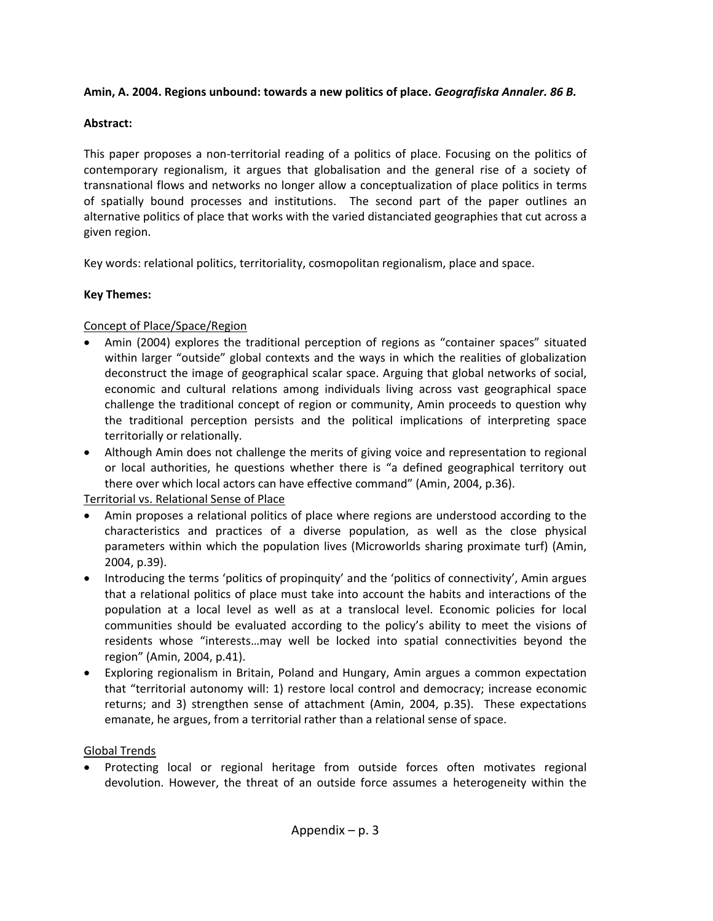## **Amin, A. 2004. Regions unbound: towards a new politics of place.** *Geografiska Annaler. 86 B.*

## **Abstract:**

This paper proposes a non-territorial reading of a politics of place. Focusing on the politics of contemporary regionalism, it argues that globalisation and the general rise of a society of transnational flows and networks no longer allow a conceptualization of place politics in terms of spatially bound processes and institutions. The second part of the paper outlines an alternative politics of place that works with the varied distanciated geographies that cut across a given region.

Key words: relational politics, territoriality, cosmopolitan regionalism, place and space.

## **Key Themes:**

# Concept of Place/Space/Region

- Amin (2004) explores the traditional perception of regions as "container spaces" situated within larger "outside" global contexts and the ways in which the realities of globalization deconstruct the image of geographical scalar space. Arguing that global networks of social, economic and cultural relations among individuals living across vast geographical space challenge the traditional concept of region or community, Amin proceeds to question why the traditional perception persists and the political implications of interpreting space territorially or relationally.
- Although Amin does not challenge the merits of giving voice and representation to regional or local authorities, he questions whether there is "a defined geographical territory out there over which local actors can have effective command" (Amin, 2004, p.36).

Territorial vs. Relational Sense of Place

- Amin proposes a relational politics of place where regions are understood according to the characteristics and practices of a diverse population, as well as the close physical parameters within which the population lives (Microworlds sharing proximate turf) (Amin, 2004, p.39).
- Introducing the terms 'politics of propinquity' and the 'politics of connectivity', Amin argues that a relational politics of place must take into account the habits and interactions of the population at a local level as well as at a translocal level. Economic policies for local communities should be evaluated according to the policy's ability to meet the visions of residents whose "interests…may well be locked into spatial connectivities beyond the region" (Amin, 2004, p.41).
- Exploring regionalism in Britain, Poland and Hungary, Amin argues a common expectation that "territorial autonomy will: 1) restore local control and democracy; increase economic returns; and 3) strengthen sense of attachment (Amin, 2004, p.35). These expectations emanate, he argues, from a territorial rather than a relational sense of space.

# Global Trends

• Protecting local or regional heritage from outside forces often motivates regional devolution. However, the threat of an outside force assumes a heterogeneity within the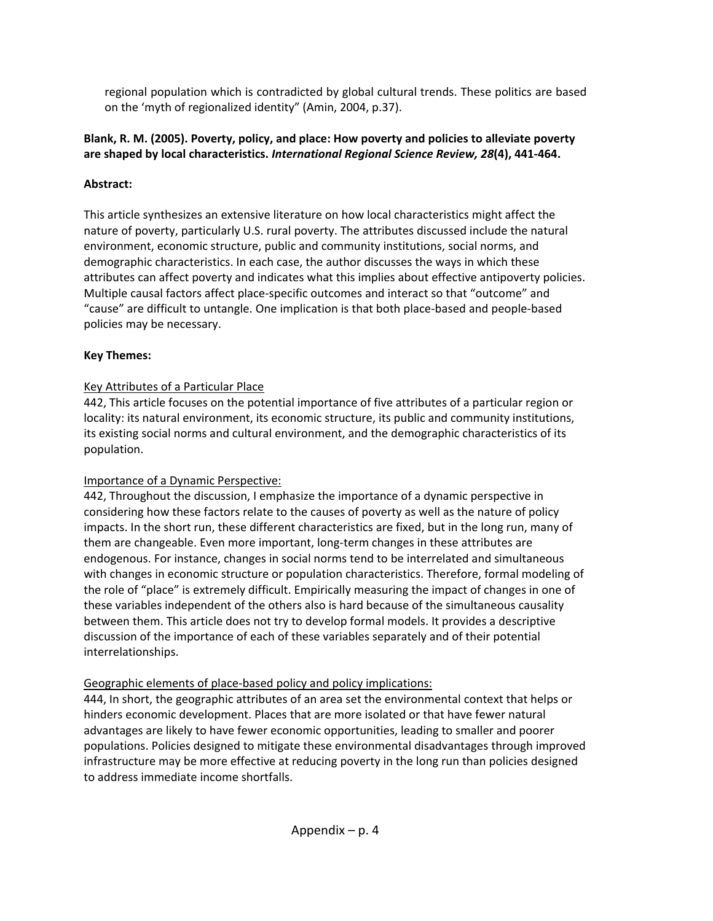regional population which is contradicted by global cultural trends. These politics are based on the 'myth of regionalized identity" (Amin, 2004, p.37).

# **Blank, R. M. (2005). Poverty, policy, and place: How poverty and policies to alleviate poverty are shaped by local characteristics.** *International Regional Science Review, 28***(4), 441‐464.**

# **Abstract:**

This article synthesizes an extensive literature on how local characteristics might affect the nature of poverty, particularly U.S. rural poverty. The attributes discussed include the natural environment, economic structure, public and community institutions, social norms, and demographic characteristics. In each case, the author discusses the ways in which these attributes can affect poverty and indicates what this implies about effective antipoverty policies. Multiple causal factors affect place‐specific outcomes and interact so that "outcome" and "cause" are difficult to untangle. One implication is that both place‐based and people‐based policies may be necessary.

# **Key Themes:**

# Key Attributes of a Particular Place

442, This article focuses on the potential importance of five attributes of a particular region or locality: its natural environment, its economic structure, its public and community institutions, its existing social norms and cultural environment, and the demographic characteristics of its population.

# Importance of a Dynamic Perspective:

442, Throughout the discussion, I emphasize the importance of a dynamic perspective in considering how these factors relate to the causes of poverty as well as the nature of policy impacts. In the short run, these different characteristics are fixed, but in the long run, many of them are changeable. Even more important, long‐term changes in these attributes are endogenous. For instance, changes in social norms tend to be interrelated and simultaneous with changes in economic structure or population characteristics. Therefore, formal modeling of the role of "place" is extremely difficult. Empirically measuring the impact of changes in one of these variables independent of the others also is hard because of the simultaneous causality between them. This article does not try to develop formal models. It provides a descriptive discussion of the importance of each of these variables separately and of their potential interrelationships.

# Geographic elements of place‐based policy and policy implications:

444, In short, the geographic attributes of an area set the environmental context that helps or hinders economic development. Places that are more isolated or that have fewer natural advantages are likely to have fewer economic opportunities, leading to smaller and poorer populations. Policies designed to mitigate these environmental disadvantages through improved infrastructure may be more effective at reducing poverty in the long run than policies designed to address immediate income shortfalls.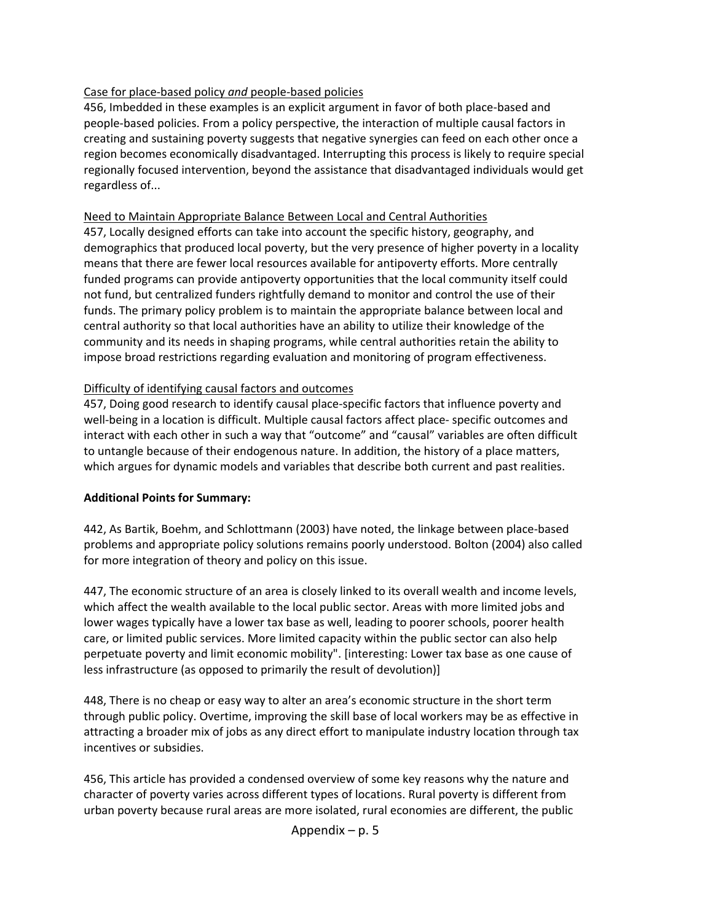#### Case for place‐based policy *and* people‐based policies

456, Imbedded in these examples is an explicit argument in favor of both place-based and people‐based policies. From a policy perspective, the interaction of multiple causal factors in creating and sustaining poverty suggests that negative synergies can feed on each other once a region becomes economically disadvantaged. Interrupting this process is likely to require special regionally focused intervention, beyond the assistance that disadvantaged individuals would get regardless of...

#### Need to Maintain Appropriate Balance Between Local and Central Authorities

457, Locally designed efforts can take into account the specific history, geography, and demographics that produced local poverty, but the very presence of higher poverty in a locality means that there are fewer local resources available for antipoverty efforts. More centrally funded programs can provide antipoverty opportunities that the local community itself could not fund, but centralized funders rightfully demand to monitor and control the use of their funds. The primary policy problem is to maintain the appropriate balance between local and central authority so that local authorities have an ability to utilize their knowledge of the community and its needs in shaping programs, while central authorities retain the ability to impose broad restrictions regarding evaluation and monitoring of program effectiveness.

#### Difficulty of identifying causal factors and outcomes

457, Doing good research to identify causal place‐specific factors that influence poverty and well-being in a location is difficult. Multiple causal factors affect place-specific outcomes and interact with each other in such a way that "outcome" and "causal" variables are often difficult to untangle because of their endogenous nature. In addition, the history of a place matters, which argues for dynamic models and variables that describe both current and past realities.

#### **Additional Points for Summary:**

442, As Bartik, Boehm, and Schlottmann (2003) have noted, the linkage between place‐based problems and appropriate policy solutions remains poorly understood. Bolton (2004) also called for more integration of theory and policy on this issue.

447, The economic structure of an area is closely linked to its overall wealth and income levels, which affect the wealth available to the local public sector. Areas with more limited jobs and lower wages typically have a lower tax base as well, leading to poorer schools, poorer health care, or limited public services. More limited capacity within the public sector can also help perpetuate poverty and limit economic mobility". [interesting: Lower tax base as one cause of less infrastructure (as opposed to primarily the result of devolution)]

448, There is no cheap or easy way to alter an area's economic structure in the short term through public policy. Overtime, improving the skill base of local workers may be as effective in attracting a broader mix of jobs as any direct effort to manipulate industry location through tax incentives or subsidies.

456, This article has provided a condensed overview of some key reasons why the nature and character of poverty varies across different types of locations. Rural poverty is different from urban poverty because rural areas are more isolated, rural economies are different, the public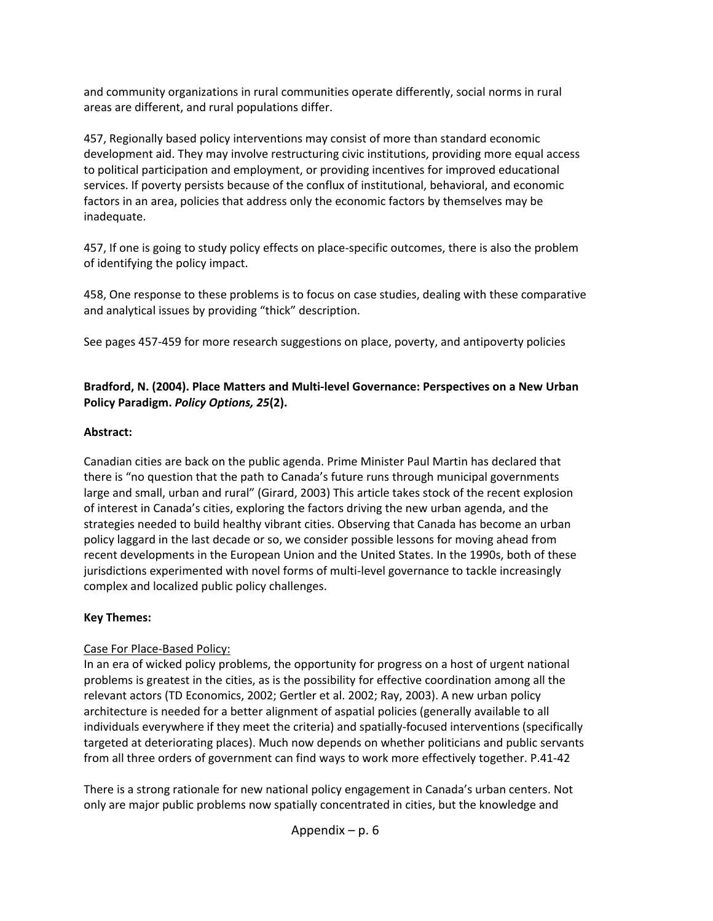and community organizations in rural communities operate differently, social norms in rural areas are different, and rural populations differ.

457, Regionally based policy interventions may consist of more than standard economic development aid. They may involve restructuring civic institutions, providing more equal access to political participation and employment, or providing incentives for improved educational services. If poverty persists because of the conflux of institutional, behavioral, and economic factors in an area, policies that address only the economic factors by themselves may be inadequate.

457, If one is going to study policy effects on place‐specific outcomes, there is also the problem of identifying the policy impact.

458, One response to these problems is to focus on case studies, dealing with these comparative and analytical issues by providing "thick" description.

See pages 457‐459 for more research suggestions on place, poverty, and antipoverty policies

# **Bradford, N. (2004). Place Matters and Multi‐level Governance: Perspectives on a New Urban Policy Paradigm.** *Policy Options, 25***(2).**

## **Abstract:**

Canadian cities are back on the public agenda. Prime Minister Paul Martin has declared that there is "no question that the path to Canada's future runs through municipal governments large and small, urban and rural" (Girard, 2003) This article takes stock of the recent explosion of interest in Canada's cities, exploring the factors driving the new urban agenda, and the strategies needed to build healthy vibrant cities. Observing that Canada has become an urban policy laggard in the last decade or so, we consider possible lessons for moving ahead from recent developments in the European Union and the United States. In the 1990s, both of these jurisdictions experimented with novel forms of multi-level governance to tackle increasingly complex and localized public policy challenges.

# **Key Themes:**

# Case For Place‐Based Policy:

In an era of wicked policy problems, the opportunity for progress on a host of urgent national problems is greatest in the cities, as is the possibility for effective coordination among all the relevant actors (TD Economics, 2002; Gertler et al. 2002; Ray, 2003). A new urban policy architecture is needed for a better alignment of aspatial policies (generally available to all individuals everywhere if they meet the criteria) and spatially‐focused interventions (specifically targeted at deteriorating places). Much now depends on whether politicians and public servants from all three orders of government can find ways to work more effectively together. P.41‐42

There is a strong rationale for new national policy engagement in Canada's urban centers. Not only are major public problems now spatially concentrated in cities, but the knowledge and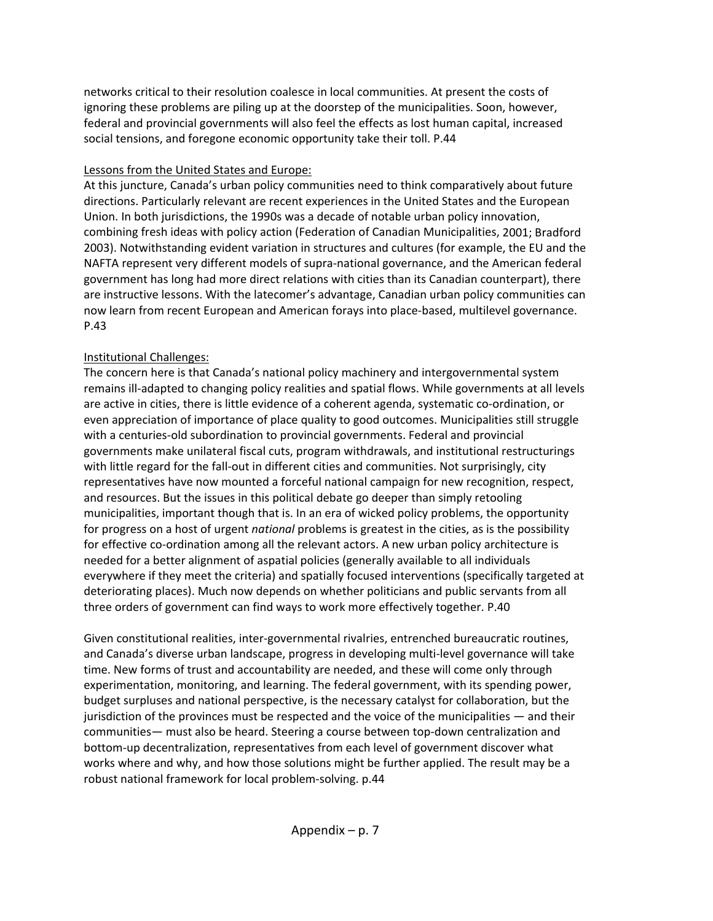networks critical to their resolution coalesce in local communities. At present the costs of ignoring these problems are piling up at the doorstep of the municipalities. Soon, however, federal and provincial governments will also feel the effects as lost human capital, increased social tensions, and foregone economic opportunity take their toll. P.44

## Lessons from the United States and Europe:

At this juncture, Canada's urban policy communities need to think comparatively about future directions. Particularly relevant are recent experiences in the United States and the European Union. In both jurisdictions, the 1990s was a decade of notable urban policy innovation, combining fresh ideas with policy action (Federation of Canadian Municipalities, 2001; Bradford 2003). Notwithstanding evident variation in structures and cultures (for example, the EU and the NAFTA represent very different models of supra‐national governance, and the American federal government has long had more direct relations with cities than its Canadian counterpart), there are instructive lessons. With the latecomer's advantage, Canadian urban policy communities can now learn from recent European and American forays into place‐based, multilevel governance. P.43

# Institutional Challenges:

The concern here is that Canada's national policy machinery and intergovernmental system remains ill‐adapted to changing policy realities and spatial flows. While governments at all levels are active in cities, there is little evidence of a coherent agenda, systematic co-ordination, or even appreciation of importance of place quality to good outcomes. Municipalities still struggle with a centuries‐old subordination to provincial governments. Federal and provincial governments make unilateral fiscal cuts, program withdrawals, and institutional restructurings with little regard for the fall-out in different cities and communities. Not surprisingly, city representatives have now mounted a forceful national campaign for new recognition, respect, and resources. But the issues in this political debate go deeper than simply retooling municipalities, important though that is. In an era of wicked policy problems, the opportunity for progress on a host of urgent *national* problems is greatest in the cities, as is the possibility for effective co-ordination among all the relevant actors. A new urban policy architecture is needed for a better alignment of aspatial policies (generally available to all individuals everywhere if they meet the criteria) and spatially focused interventions (specifically targeted at deteriorating places). Much now depends on whether politicians and public servants from all three orders of government can find ways to work more effectively together. P.40

Given constitutional realities, inter‐governmental rivalries, entrenched bureaucratic routines, and Canada's diverse urban landscape, progress in developing multi‐level governance will take time. New forms of trust and accountability are needed, and these will come only through experimentation, monitoring, and learning. The federal government, with its spending power, budget surpluses and national perspective, is the necessary catalyst for collaboration, but the jurisdiction of the provinces must be respected and the voice of the municipalities — and their communities— must also be heard. Steering a course between top-down centralization and bottom‐up decentralization, representatives from each level of government discover what works where and why, and how those solutions might be further applied. The result may be a robust national framework for local problem‐solving. p.44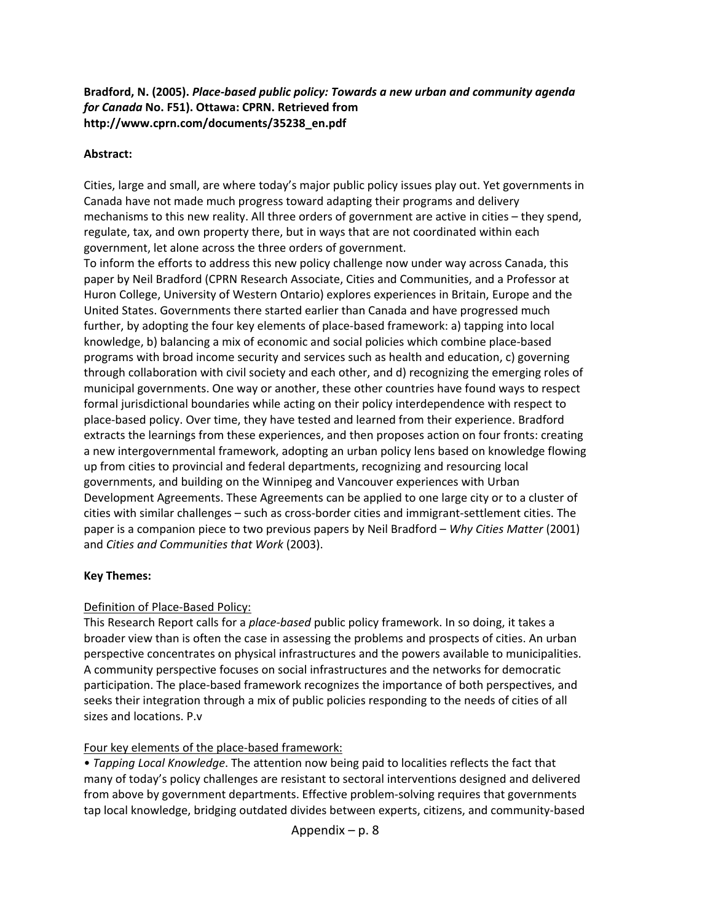#### **Bradford, N. (2005).** *Place‐based public policy: Towards a new urban and community agenda for Canada* **No. F51). Ottawa: CPRN. Retrieved from http://www.cprn.com/documents/35238\_en.pdf**

#### **Abstract:**

Cities, large and small, are where today's major public policy issues play out. Yet governments in Canada have not made much progress toward adapting their programs and delivery mechanisms to this new reality. All three orders of government are active in cities – they spend, regulate, tax, and own property there, but in ways that are not coordinated within each government, let alone across the three orders of government.

To inform the efforts to address this new policy challenge now under way across Canada, this paper by Neil Bradford (CPRN Research Associate, Cities and Communities, and a Professor at Huron College, University of Western Ontario) explores experiences in Britain, Europe and the United States. Governments there started earlier than Canada and have progressed much further, by adopting the four key elements of place-based framework: a) tapping into local knowledge, b) balancing a mix of economic and social policies which combine place-based programs with broad income security and services such as health and education, c) governing through collaboration with civil society and each other, and d) recognizing the emerging roles of municipal governments. One way or another, these other countries have found ways to respect formal jurisdictional boundaries while acting on their policy interdependence with respect to place‐based policy. Over time, they have tested and learned from their experience. Bradford extracts the learnings from these experiences, and then proposes action on four fronts: creating a new intergovernmental framework, adopting an urban policy lens based on knowledge flowing up from cities to provincial and federal departments, recognizing and resourcing local governments, and building on the Winnipeg and Vancouver experiences with Urban Development Agreements. These Agreements can be applied to one large city or to a cluster of cities with similar challenges – such as cross‐border cities and immigrant‐settlement cities. The paper is a companion piece to two previous papers by Neil Bradford – *Why Cities Matter* (2001) and *Cities and Communities that Work* (2003).

#### **Key Themes:**

#### Definition of Place‐Based Policy:

This Research Report calls for a *place‐based* public policy framework. In so doing, it takes a broader view than is often the case in assessing the problems and prospects of cities. An urban perspective concentrates on physical infrastructures and the powers available to municipalities. A community perspective focuses on social infrastructures and the networks for democratic participation. The place‐based framework recognizes the importance of both perspectives, and seeks their integration through a mix of public policies responding to the needs of cities of all sizes and locations. P.v

#### Four key elements of the place-based framework:

• *Tapping Local Knowledge*. The attention now being paid to localities reflects the fact that many of today's policy challenges are resistant to sectoral interventions designed and delivered from above by government departments. Effective problem‐solving requires that governments tap local knowledge, bridging outdated divides between experts, citizens, and community‐based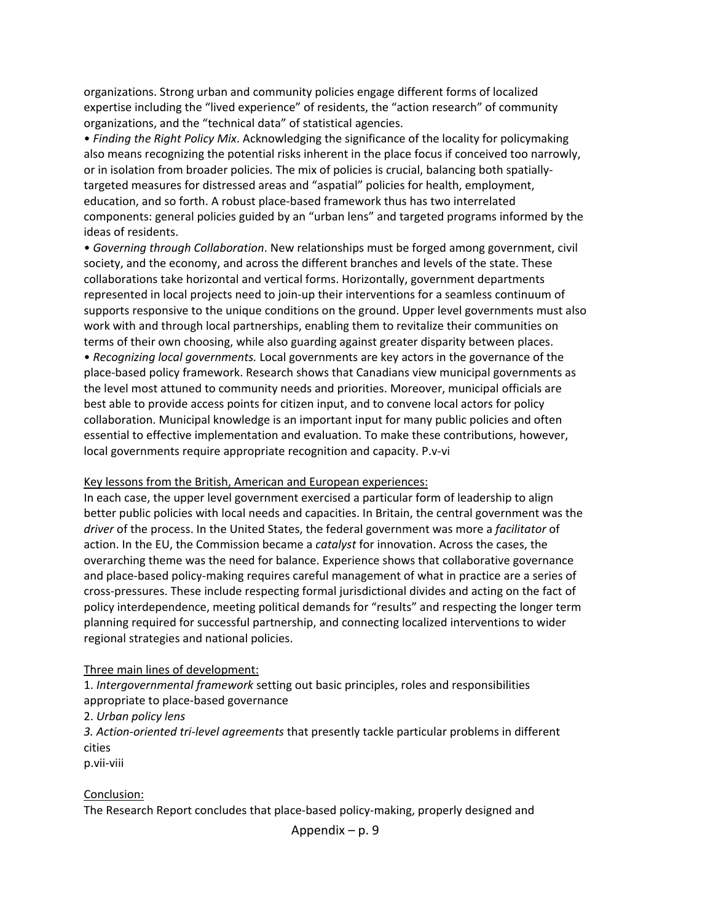organizations. Strong urban and community policies engage different forms of localized expertise including the "lived experience" of residents, the "action research" of community organizations, and the "technical data" of statistical agencies.

• *Finding the Right Policy Mix*. Acknowledging the significance of the locality for policymaking also means recognizing the potential risks inherent in the place focus if conceived too narrowly, or in isolation from broader policies. The mix of policies is crucial, balancing both spatially‐ targeted measures for distressed areas and "aspatial" policies for health, employment, education, and so forth. A robust place‐based framework thus has two interrelated components: general policies guided by an "urban lens" and targeted programs informed by the ideas of residents.

• *Governing through Collaboration*. New relationships must be forged among government, civil society, and the economy, and across the different branches and levels of the state. These collaborations take horizontal and vertical forms. Horizontally, government departments represented in local projects need to join‐up their interventions for a seamless continuum of supports responsive to the unique conditions on the ground. Upper level governments must also work with and through local partnerships, enabling them to revitalize their communities on terms of their own choosing, while also guarding against greater disparity between places. • *Recognizing local governments.* Local governments are key actors in the governance of the place‐based policy framework. Research shows that Canadians view municipal governments as the level most attuned to community needs and priorities. Moreover, municipal officials are best able to provide access points for citizen input, and to convene local actors for policy collaboration. Municipal knowledge is an important input for many public policies and often essential to effective implementation and evaluation. To make these contributions, however, local governments require appropriate recognition and capacity. P.v‐vi

#### Key lessons from the British, American and European experiences:

In each case, the upper level government exercised a particular form of leadership to align better public policies with local needs and capacities. In Britain, the central government was the *driver* of the process. In the United States, the federal government was more a *facilitator* of action. In the EU, the Commission became a *catalyst* for innovation. Across the cases, the overarching theme was the need for balance. Experience shows that collaborative governance and place-based policy-making requires careful management of what in practice are a series of cross‐pressures. These include respecting formal jurisdictional divides and acting on the fact of policy interdependence, meeting political demands for "results" and respecting the longer term planning required for successful partnership, and connecting localized interventions to wider regional strategies and national policies.

#### Three main lines of development:

1. *Intergovernmental framework* setting out basic principles, roles and responsibilities appropriate to place‐based governance

2. *Urban policy lens*

*3. Action‐oriented tri‐level agreements* that presently tackle particular problems in different cities

p.vii‐viii

#### Conclusion:

The Research Report concludes that place‐based policy‐making, properly designed and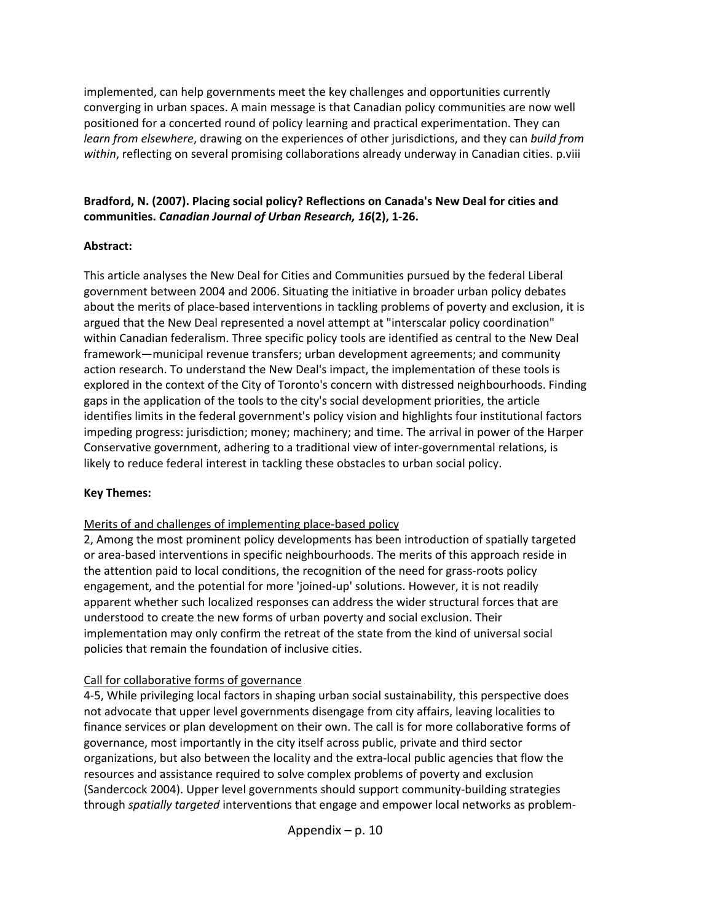implemented, can help governments meet the key challenges and opportunities currently converging in urban spaces. A main message is that Canadian policy communities are now well positioned for a concerted round of policy learning and practical experimentation. They can *learn from elsewhere*, drawing on the experiences of other jurisdictions, and they can *build from within*, reflecting on several promising collaborations already underway in Canadian cities. p.viii

## **Bradford, N. (2007). Placing social policy? Reflections on Canada's New Deal for cities and communities.** *Canadian Journal of Urban Research, 16***(2), 1‐26.**

# **Abstract:**

This article analyses the New Deal for Cities and Communities pursued by the federal Liberal government between 2004 and 2006. Situating the initiative in broader urban policy debates about the merits of place-based interventions in tackling problems of poverty and exclusion, it is argued that the New Deal represented a novel attempt at "interscalar policy coordination" within Canadian federalism. Three specific policy tools are identified as central to the New Deal framework—municipal revenue transfers; urban development agreements; and community action research. To understand the New Deal's impact, the implementation of these tools is explored in the context of the City of Toronto's concern with distressed neighbourhoods. Finding gaps in the application of the tools to the city's social development priorities, the article identifies limits in the federal government's policy vision and highlights four institutional factors impeding progress: jurisdiction; money; machinery; and time. The arrival in power of the Harper Conservative government, adhering to a traditional view of inter‐governmental relations, is likely to reduce federal interest in tackling these obstacles to urban social policy.

# **Key Themes:**

# Merits of and challenges of implementing place‐based policy

2, Among the most prominent policy developments has been introduction of spatially targeted or area‐based interventions in specific neighbourhoods. The merits of this approach reside in the attention paid to local conditions, the recognition of the need for grass-roots policy engagement, and the potential for more 'joined‐up' solutions. However, it is not readily apparent whether such localized responses can address the wider structural forces that are understood to create the new forms of urban poverty and social exclusion. Their implementation may only confirm the retreat of the state from the kind of universal social policies that remain the foundation of inclusive cities.

# Call for collaborative forms of governance

4‐5, While privileging local factors in shaping urban social sustainability, this perspective does not advocate that upper level governments disengage from city affairs, leaving localities to finance services or plan development on their own. The call is for more collaborative forms of governance, most importantly in the city itself across public, private and third sector organizations, but also between the locality and the extra‐local public agencies that flow the resources and assistance required to solve complex problems of poverty and exclusion (Sandercock 2004). Upper level governments should support community‐building strategies through *spatially targeted* interventions that engage and empower local networks as problem‐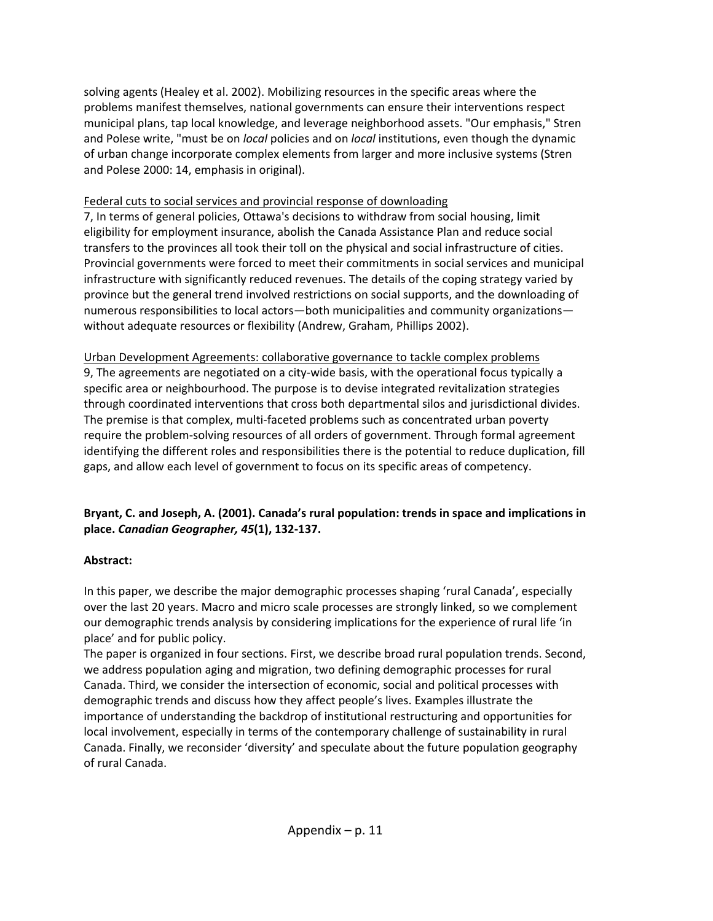solving agents (Healey et al. 2002). Mobilizing resources in the specific areas where the problems manifest themselves, national governments can ensure their interventions respect municipal plans, tap local knowledge, and leverage neighborhood assets. "Our emphasis," Stren and Polese write, "must be on *local* policies and on *local* institutions, even though the dynamic of urban change incorporate complex elements from larger and more inclusive systems (Stren and Polese 2000: 14, emphasis in original).

## Federal cuts to social services and provincial response of downloading

7, In terms of general policies, Ottawa's decisions to withdraw from social housing, limit eligibility for employment insurance, abolish the Canada Assistance Plan and reduce social transfers to the provinces all took their toll on the physical and social infrastructure of cities. Provincial governments were forced to meet their commitments in social services and municipal infrastructure with significantly reduced revenues. The details of the coping strategy varied by province but the general trend involved restrictions on social supports, and the downloading of numerous responsibilities to local actors—both municipalities and community organizations without adequate resources or flexibility (Andrew, Graham, Phillips 2002).

Urban Development Agreements: collaborative governance to tackle complex problems 9, The agreements are negotiated on a city-wide basis, with the operational focus typically a specific area or neighbourhood. The purpose is to devise integrated revitalization strategies through coordinated interventions that cross both departmental silos and jurisdictional divides. The premise is that complex, multi-faceted problems such as concentrated urban poverty require the problem‐solving resources of all orders of government. Through formal agreement identifying the different roles and responsibilities there is the potential to reduce duplication, fill gaps, and allow each level of government to focus on its specific areas of competency.

# **Bryant, C. and Joseph, A. (2001). Canada's rural population: trends in space and implications in place.** *Canadian Geographer, 45***(1), 132‐137.**

# **Abstract:**

In this paper, we describe the major demographic processes shaping 'rural Canada', especially over the last 20 years. Macro and micro scale processes are strongly linked, so we complement our demographic trends analysis by considering implications for the experience of rural life 'in place' and for public policy.

The paper is organized in four sections. First, we describe broad rural population trends. Second, we address population aging and migration, two defining demographic processes for rural Canada. Third, we consider the intersection of economic, social and political processes with demographic trends and discuss how they affect people's lives. Examples illustrate the importance of understanding the backdrop of institutional restructuring and opportunities for local involvement, especially in terms of the contemporary challenge of sustainability in rural Canada. Finally, we reconsider 'diversity' and speculate about the future population geography of rural Canada.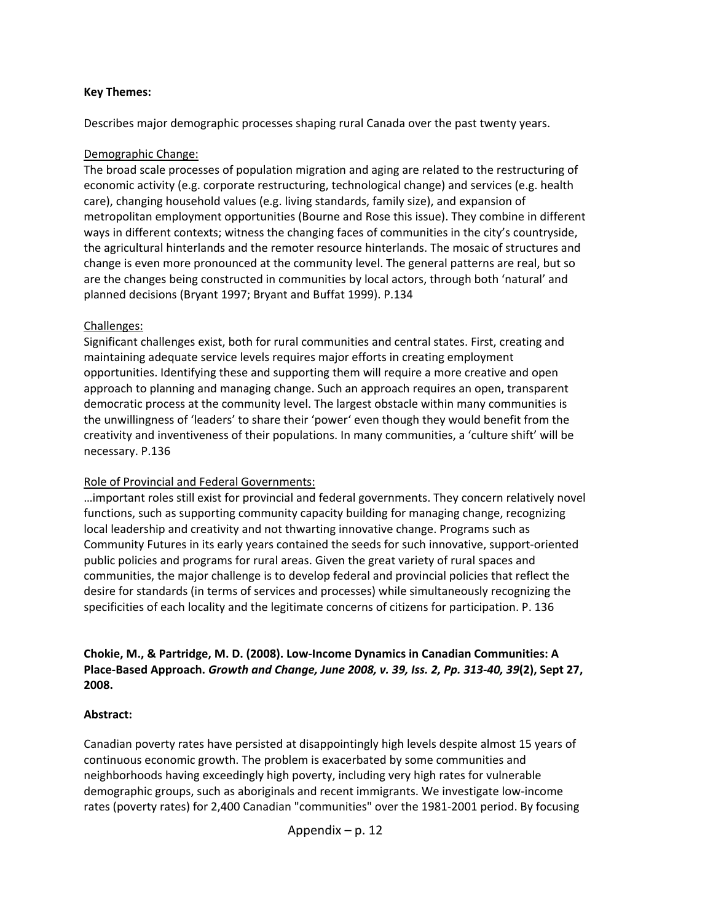#### **Key Themes:**

Describes major demographic processes shaping rural Canada over the past twenty years.

#### Demographic Change:

The broad scale processes of population migration and aging are related to the restructuring of economic activity (e.g. corporate restructuring, technological change) and services (e.g. health care), changing household values (e.g. living standards, family size), and expansion of metropolitan employment opportunities (Bourne and Rose this issue). They combine in different ways in different contexts; witness the changing faces of communities in the city's countryside, the agricultural hinterlands and the remoter resource hinterlands. The mosaic of structures and change is even more pronounced at the community level. The general patterns are real, but so are the changes being constructed in communities by local actors, through both 'natural' and planned decisions (Bryant 1997; Bryant and Buffat 1999). P.134

#### Challenges:

Significant challenges exist, both for rural communities and central states. First, creating and maintaining adequate service levels requires major efforts in creating employment opportunities. Identifying these and supporting them will require a more creative and open approach to planning and managing change. Such an approach requires an open, transparent democratic process at the community level. The largest obstacle within many communities is the unwillingness of 'leaders' to share their 'power' even though they would benefit from the creativity and inventiveness of their populations. In many communities, a 'culture shift' will be necessary. P.136

#### Role of Provincial and Federal Governments:

…important roles still exist for provincial and federal governments. They concern relatively novel functions, such as supporting community capacity building for managing change, recognizing local leadership and creativity and not thwarting innovative change. Programs such as Community Futures in its early years contained the seeds for such innovative, support‐oriented public policies and programs for rural areas. Given the great variety of rural spaces and communities, the major challenge is to develop federal and provincial policies that reflect the desire for standards (in terms of services and processes) while simultaneously recognizing the specificities of each locality and the legitimate concerns of citizens for participation. P. 136

## **Chokie, M., & Partridge, M. D. (2008). Low‐Income Dynamics in Canadian Communities: A** Place-Based Approach. Growth and Change, June 2008, v. 39, Iss. 2, Pp. 313-40, 39(2), Sept 27, **2008.**

#### **Abstract:**

Canadian poverty rates have persisted at disappointingly high levels despite almost 15 years of continuous economic growth. The problem is exacerbated by some communities and neighborhoods having exceedingly high poverty, including very high rates for vulnerable demographic groups, such as aboriginals and recent immigrants. We investigate low‐income rates (poverty rates) for 2,400 Canadian "communities" over the 1981-2001 period. By focusing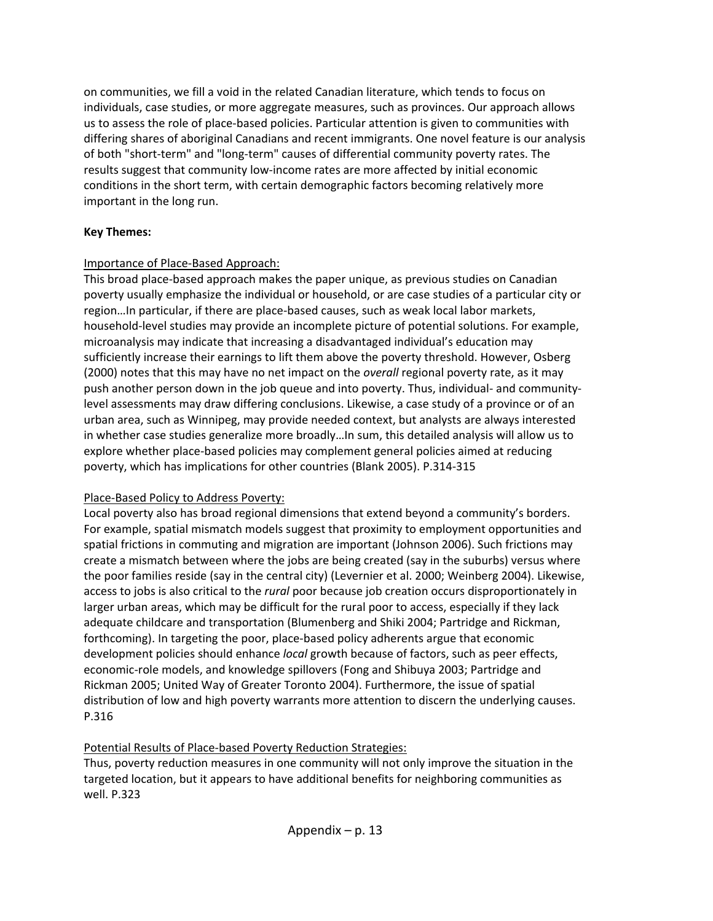on communities, we fill a void in the related Canadian literature, which tends to focus on individuals, case studies, or more aggregate measures, such as provinces. Our approach allows us to assess the role of place‐based policies. Particular attention is given to communities with differing shares of aboriginal Canadians and recent immigrants. One novel feature is our analysis of both "short‐term" and "long‐term" causes of differential community poverty rates. The results suggest that community low-income rates are more affected by initial economic conditions in the short term, with certain demographic factors becoming relatively more important in the long run.

# **Key Themes:**

## Importance of Place‐Based Approach:

This broad place‐based approach makes the paper unique, as previous studies on Canadian poverty usually emphasize the individual or household, or are case studies of a particular city or region…In particular, if there are place‐based causes, such as weak local labor markets, household-level studies may provide an incomplete picture of potential solutions. For example, microanalysis may indicate that increasing a disadvantaged individual's education may sufficiently increase their earnings to lift them above the poverty threshold. However, Osberg (2000) notes that this may have no net impact on the *overall* regional poverty rate, as it may push another person down in the job queue and into poverty. Thus, individual- and communitylevel assessments may draw differing conclusions. Likewise, a case study of a province or of an urban area, such as Winnipeg, may provide needed context, but analysts are always interested in whether case studies generalize more broadly…In sum, this detailed analysis will allow us to explore whether place‐based policies may complement general policies aimed at reducing poverty, which has implications for other countries (Blank 2005). P.314‐315

# Place‐Based Policy to Address Poverty:

Local poverty also has broad regional dimensions that extend beyond a community's borders. For example, spatial mismatch models suggest that proximity to employment opportunities and spatial frictions in commuting and migration are important (Johnson 2006). Such frictions may create a mismatch between where the jobs are being created (say in the suburbs) versus where the poor families reside (say in the central city) (Levernier et al. 2000; Weinberg 2004). Likewise, access to jobs is also critical to the *rural* poor because job creation occurs disproportionately in larger urban areas, which may be difficult for the rural poor to access, especially if they lack adequate childcare and transportation (Blumenberg and Shiki 2004; Partridge and Rickman, forthcoming). In targeting the poor, place-based policy adherents argue that economic development policies should enhance *local* growth because of factors, such as peer effects, economic‐role models, and knowledge spillovers (Fong and Shibuya 2003; Partridge and Rickman 2005; United Way of Greater Toronto 2004). Furthermore, the issue of spatial distribution of low and high poverty warrants more attention to discern the underlying causes. P.316

# Potential Results of Place‐based Poverty Reduction Strategies:

Thus, poverty reduction measures in one community will not only improve the situation in the targeted location, but it appears to have additional benefits for neighboring communities as well. P.323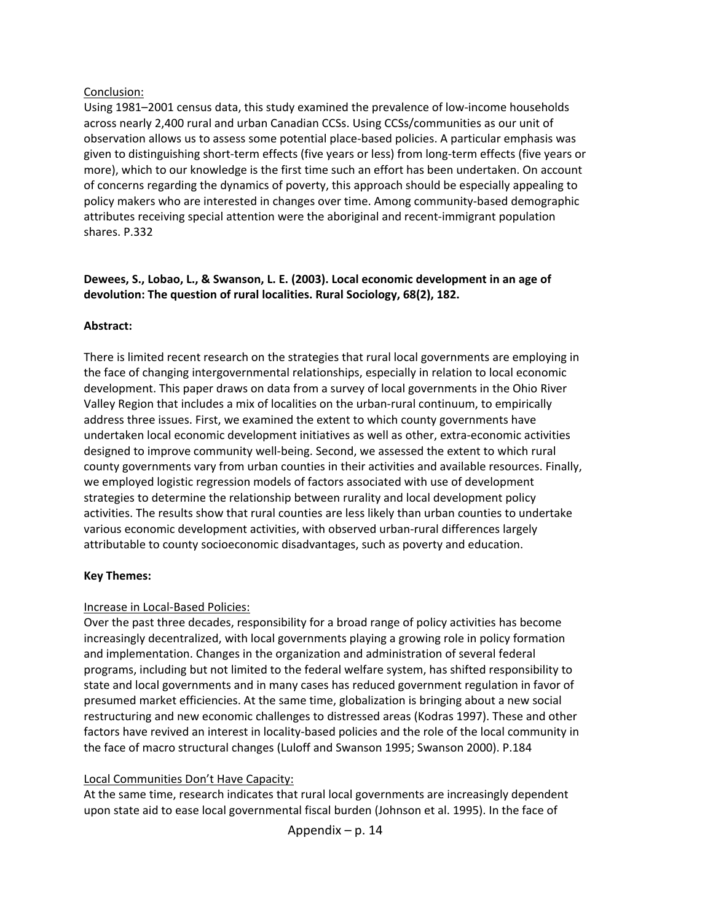#### Conclusion:

Using 1981–2001 census data, this study examined the prevalence of low‐income households across nearly 2,400 rural and urban Canadian CCSs. Using CCSs/communities as our unit of observation allows us to assess some potential place‐based policies. A particular emphasis was given to distinguishing short‐term effects (five years or less) from long‐term effects (five years or more), which to our knowledge is the first time such an effort has been undertaken. On account of concerns regarding the dynamics of poverty, this approach should be especially appealing to policy makers who are interested in changes over time. Among community-based demographic attributes receiving special attention were the aboriginal and recent-immigrant population shares. P.332

#### **Dewees, S., Lobao, L., & Swanson, L. E. (2003). Local economic development in an age of devolution: The question of rural localities. Rural Sociology, 68(2), 182.**

#### **Abstract:**

There is limited recent research on the strategies that rural local governments are employing in the face of changing intergovernmental relationships, especially in relation to local economic development. This paper draws on data from a survey of local governments in the Ohio River Valley Region that includes a mix of localities on the urban‐rural continuum, to empirically address three issues. First, we examined the extent to which county governments have undertaken local economic development initiatives as well as other, extra‐economic activities designed to improve community well‐being. Second, we assessed the extent to which rural county governments vary from urban counties in their activities and available resources. Finally, we employed logistic regression models of factors associated with use of development strategies to determine the relationship between rurality and local development policy activities. The results show that rural counties are less likely than urban counties to undertake various economic development activities, with observed urban‐rural differences largely attributable to county socioeconomic disadvantages, such as poverty and education.

#### **Key Themes:**

#### Increase in Local‐Based Policies:

Over the past three decades, responsibility for a broad range of policy activities has become increasingly decentralized, with local governments playing a growing role in policy formation and implementation. Changes in the organization and administration of several federal programs, including but not limited to the federal welfare system, has shifted responsibility to state and local governments and in many cases has reduced government regulation in favor of presumed market efficiencies. At the same time, globalization is bringing about a new social restructuring and new economic challenges to distressed areas (Kodras 1997). These and other factors have revived an interest in locality-based policies and the role of the local community in the face of macro structural changes (Luloff and Swanson 1995; Swanson 2000). P.184

#### Local Communities Don't Have Capacity:

At the same time, research indicates that rural local governments are increasingly dependent upon state aid to ease local governmental fiscal burden (Johnson et al. 1995). In the face of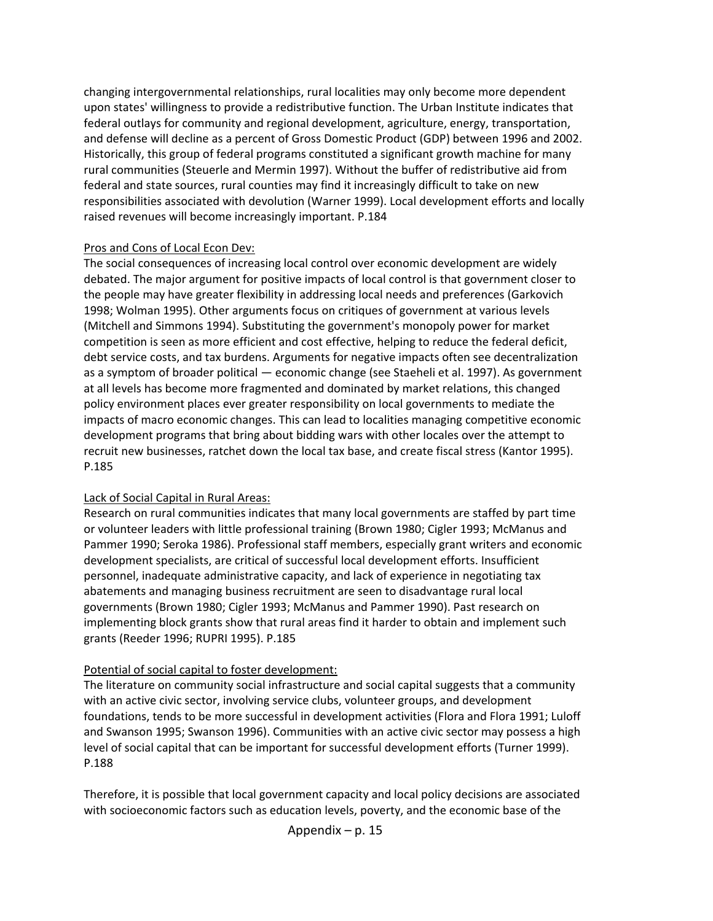changing intergovernmental relationships, rural localities may only become more dependent upon states' willingness to provide a redistributive function. The Urban Institute indicates that federal outlays for community and regional development, agriculture, energy, transportation, and defense will decline as a percent of Gross Domestic Product (GDP) between 1996 and 2002. Historically, this group of federal programs constituted a significant growth machine for many rural communities (Steuerle and Mermin 1997). Without the buffer of redistributive aid from federal and state sources, rural counties may find it increasingly difficult to take on new responsibilities associated with devolution (Warner 1999). Local development efforts and locally raised revenues will become increasingly important. P.184

#### Pros and Cons of Local Econ Dev:

The social consequences of increasing local control over economic development are widely debated. The major argument for positive impacts of local control is that government closer to the people may have greater flexibility in addressing local needs and preferences (Garkovich 1998; Wolman 1995). Other arguments focus on critiques of government at various levels (Mitchell and Simmons 1994). Substituting the government's monopoly power for market competition is seen as more efficient and cost effective, helping to reduce the federal deficit, debt service costs, and tax burdens. Arguments for negative impacts often see decentralization as a symptom of broader political — economic change (see Staeheli et al. 1997). As government at all levels has become more fragmented and dominated by market relations, this changed policy environment places ever greater responsibility on local governments to mediate the impacts of macro economic changes. This can lead to localities managing competitive economic development programs that bring about bidding wars with other locales over the attempt to recruit new businesses, ratchet down the local tax base, and create fiscal stress (Kantor 1995). P.185

#### Lack of Social Capital in Rural Areas:

Research on rural communities indicates that many local governments are staffed by part time or volunteer leaders with little professional training (Brown 1980; Cigler 1993; McManus and Pammer 1990; Seroka 1986). Professional staff members, especially grant writers and economic development specialists, are critical of successful local development efforts. Insufficient personnel, inadequate administrative capacity, and lack of experience in negotiating tax abatements and managing business recruitment are seen to disadvantage rural local governments (Brown 1980; Cigler 1993; McManus and Pammer 1990). Past research on implementing block grants show that rural areas find it harder to obtain and implement such grants (Reeder 1996; RUPRI 1995). P.185

#### Potential of social capital to foster development:

The literature on community social infrastructure and social capital suggests that a community with an active civic sector, involving service clubs, volunteer groups, and development foundations, tends to be more successful in development activities (Flora and Flora 1991; Luloff and Swanson 1995; Swanson 1996). Communities with an active civic sector may possess a high level of social capital that can be important for successful development efforts (Turner 1999). P.188

Therefore, it is possible that local government capacity and local policy decisions are associated with socioeconomic factors such as education levels, poverty, and the economic base of the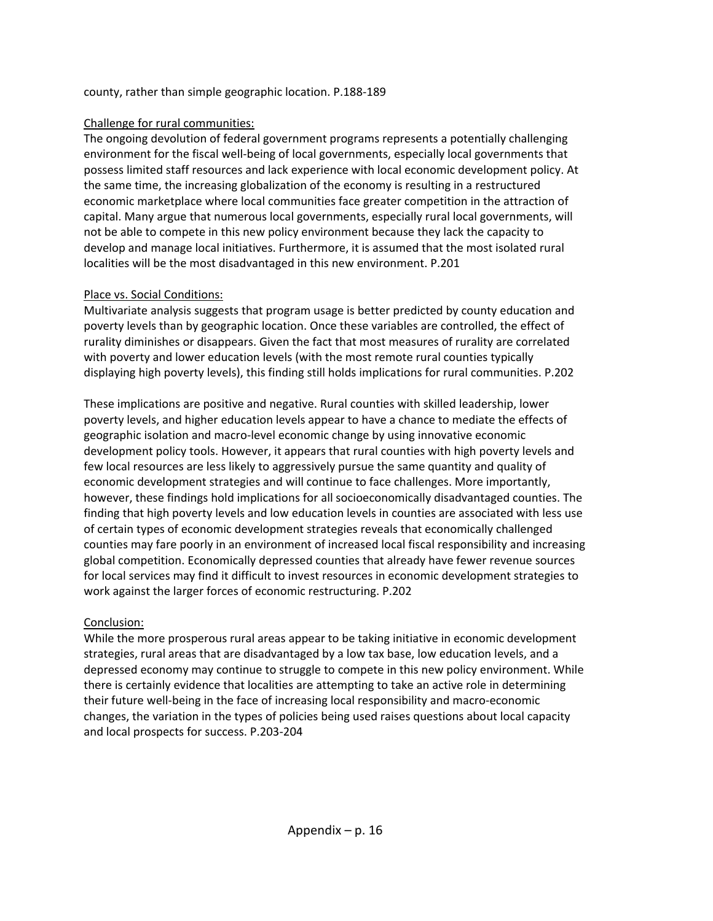#### county, rather than simple geographic location. P.188‐189

#### Challenge for rural communities:

The ongoing devolution of federal government programs represents a potentially challenging environment for the fiscal well-being of local governments, especially local governments that possess limited staff resources and lack experience with local economic development policy. At the same time, the increasing globalization of the economy is resulting in a restructured economic marketplace where local communities face greater competition in the attraction of capital. Many argue that numerous local governments, especially rural local governments, will not be able to compete in this new policy environment because they lack the capacity to develop and manage local initiatives. Furthermore, it is assumed that the most isolated rural localities will be the most disadvantaged in this new environment. P.201

## Place vs. Social Conditions:

Multivariate analysis suggests that program usage is better predicted by county education and poverty levels than by geographic location. Once these variables are controlled, the effect of rurality diminishes or disappears. Given the fact that most measures of rurality are correlated with poverty and lower education levels (with the most remote rural counties typically displaying high poverty levels), this finding still holds implications for rural communities. P.202

These implications are positive and negative. Rural counties with skilled leadership, lower poverty levels, and higher education levels appear to have a chance to mediate the effects of geographic isolation and macro‐level economic change by using innovative economic development policy tools. However, it appears that rural counties with high poverty levels and few local resources are less likely to aggressively pursue the same quantity and quality of economic development strategies and will continue to face challenges. More importantly, however, these findings hold implications for all socioeconomically disadvantaged counties. The finding that high poverty levels and low education levels in counties are associated with less use of certain types of economic development strategies reveals that economically challenged counties may fare poorly in an environment of increased local fiscal responsibility and increasing global competition. Economically depressed counties that already have fewer revenue sources for local services may find it difficult to invest resources in economic development strategies to work against the larger forces of economic restructuring. P.202

# Conclusion:

While the more prosperous rural areas appear to be taking initiative in economic development strategies, rural areas that are disadvantaged by a low tax base, low education levels, and a depressed economy may continue to struggle to compete in this new policy environment. While there is certainly evidence that localities are attempting to take an active role in determining their future well‐being in the face of increasing local responsibility and macro‐economic changes, the variation in the types of policies being used raises questions about local capacity and local prospects for success. P.203‐204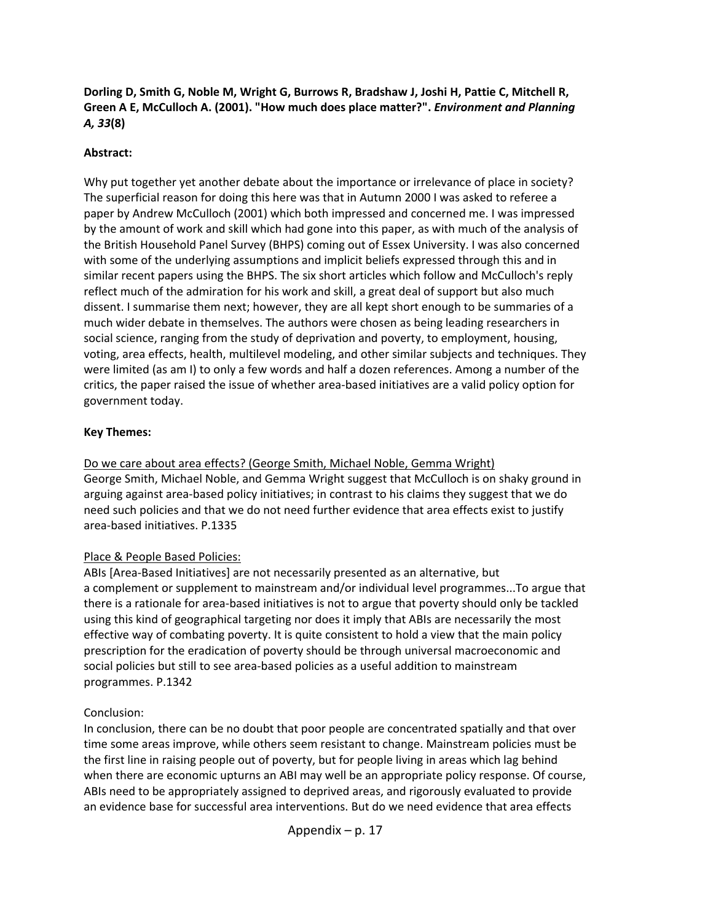**Dorling D, Smith G, Noble M, Wright G, Burrows R, Bradshaw J, Joshi H, Pattie C, Mitchell R, Green A E, McCulloch A. (2001). "How much does place matter?".** *Environment and Planning A, 33***(8)**

## **Abstract:**

Why put together yet another debate about the importance or irrelevance of place in society? The superficial reason for doing this here was that in Autumn 2000 I was asked to referee a paper by Andrew McCulloch (2001) which both impressed and concerned me. I was impressed by the amount of work and skill which had gone into this paper, as with much of the analysis of the British Household Panel Survey (BHPS) coming out of Essex University. I was also concerned with some of the underlying assumptions and implicit beliefs expressed through this and in similar recent papers using the BHPS. The six short articles which follow and McCulloch's reply reflect much of the admiration for his work and skill, a great deal of support but also much dissent. I summarise them next; however, they are all kept short enough to be summaries of a much wider debate in themselves. The authors were chosen as being leading researchers in social science, ranging from the study of deprivation and poverty, to employment, housing, voting, area effects, health, multilevel modeling, and other similar subjects and techniques. They were limited (as am I) to only a few words and half a dozen references. Among a number of the critics, the paper raised the issue of whether area‐based initiatives are a valid policy option for government today.

## **Key Themes:**

Do we care about area effects? (George Smith, Michael Noble, Gemma Wright) George Smith, Michael Noble, and Gemma Wright suggest that McCulloch is on shaky ground in arguing against area‐based policy initiatives; in contrast to his claims they suggest that we do need such policies and that we do not need further evidence that area effects exist to justify area‐based initiatives. P.1335

# Place & People Based Policies:

ABIs [Area‐Based Initiatives] are not necessarily presented as an alternative, but a complement or supplement to mainstream and/or individual level programmes...To argue that there is a rationale for area‐based initiatives is not to argue that poverty should only be tackled using this kind of geographical targeting nor does it imply that ABIs are necessarily the most effective way of combating poverty. It is quite consistent to hold a view that the main policy prescription for the eradication of poverty should be through universal macroeconomic and social policies but still to see area‐based policies as a useful addition to mainstream programmes. P.1342

# Conclusion:

In conclusion, there can be no doubt that poor people are concentrated spatially and that over time some areas improve, while others seem resistant to change. Mainstream policies must be the first line in raising people out of poverty, but for people living in areas which lag behind when there are economic upturns an ABI may well be an appropriate policy response. Of course, ABIs need to be appropriately assigned to deprived areas, and rigorously evaluated to provide an evidence base for successful area interventions. But do we need evidence that area effects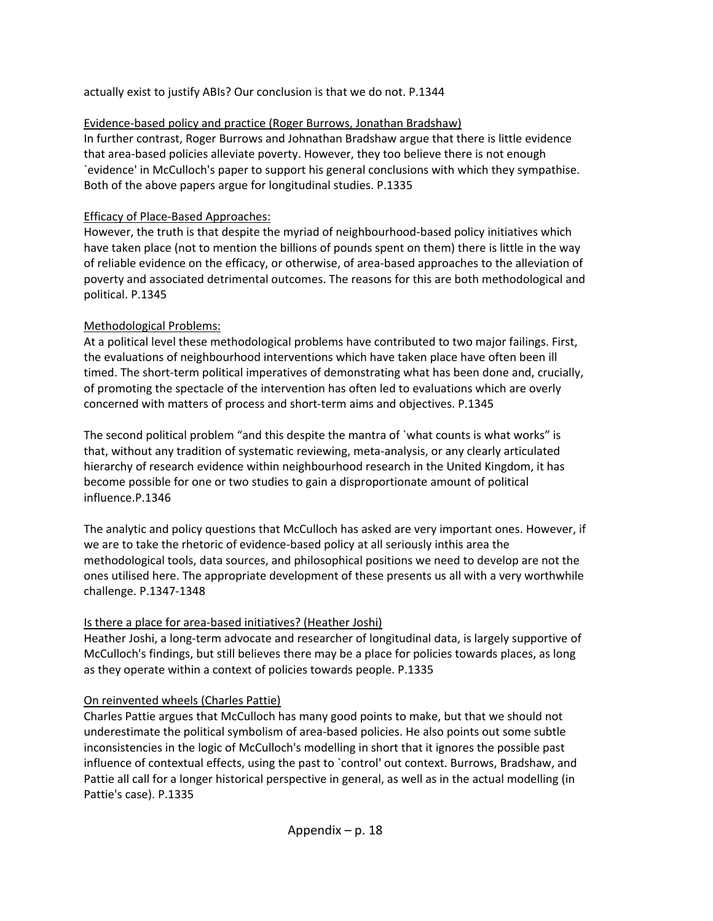actually exist to justify ABIs? Our conclusion is that we do not. P.1344

## Evidence‐based policy and practice (Roger Burrows, Jonathan Bradshaw)

In further contrast, Roger Burrows and Johnathan Bradshaw argue that there is little evidence that area‐based policies alleviate poverty. However, they too believe there is not enough `evidence' in McCulloch's paper to support his general conclusions with which they sympathise. Both of the above papers argue for longitudinal studies. P.1335

## Efficacy of Place‐Based Approaches:

However, the truth is that despite the myriad of neighbourhood-based policy initiatives which have taken place (not to mention the billions of pounds spent on them) there is little in the way of reliable evidence on the efficacy, or otherwise, of area‐based approaches to the alleviation of poverty and associated detrimental outcomes. The reasons for this are both methodological and political. P.1345

# Methodological Problems:

At a political level these methodological problems have contributed to two major failings. First, the evaluations of neighbourhood interventions which have taken place have often been ill timed. The short-term political imperatives of demonstrating what has been done and, crucially, of promoting the spectacle of the intervention has often led to evaluations which are overly concerned with matters of process and short‐term aims and objectives. P.1345

The second political problem "and this despite the mantra of `what counts is what works" is that, without any tradition of systematic reviewing, meta‐analysis, or any clearly articulated hierarchy of research evidence within neighbourhood research in the United Kingdom, it has become possible for one or two studies to gain a disproportionate amount of political influence.P.1346

The analytic and policy questions that McCulloch has asked are very important ones. However, if we are to take the rhetoric of evidence-based policy at all seriously inthis area the methodological tools, data sources, and philosophical positions we need to develop are not the ones utilised here. The appropriate development of these presents us all with a very worthwhile challenge. P.1347‐1348

# Is there a place for area‐based initiatives? (Heather Joshi)

Heather Joshi, a long‐term advocate and researcher of longitudinal data, is largely supportive of McCulloch's findings, but still believes there may be a place for policies towards places, as long as they operate within a context of policies towards people. P.1335

# On reinvented wheels (Charles Pattie)

Charles Pattie argues that McCulloch has many good points to make, but that we should not underestimate the political symbolism of area‐based policies. He also points out some subtle inconsistencies in the logic of McCulloch's modelling in short that it ignores the possible past influence of contextual effects, using the past to `control' out context. Burrows, Bradshaw, and Pattie all call for a longer historical perspective in general, as well as in the actual modelling (in Pattie's case). P.1335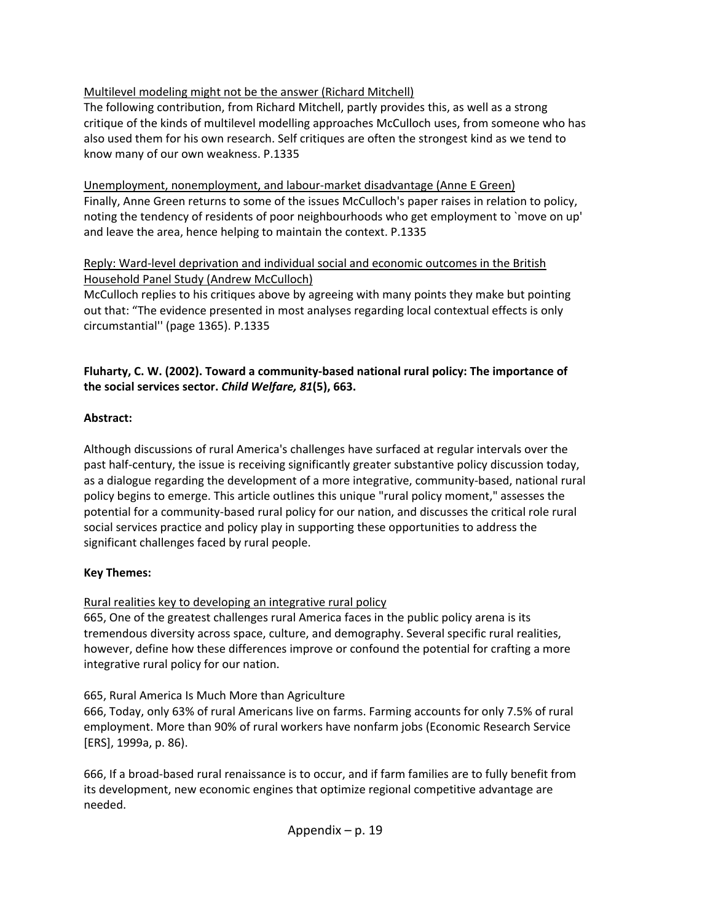# Multilevel modeling might not be the answer (Richard Mitchell)

The following contribution, from Richard Mitchell, partly provides this, as well as a strong critique of the kinds of multilevel modelling approaches McCulloch uses, from someone who has also used them for his own research. Self critiques are often the strongest kind as we tend to know many of our own weakness. P.1335

Unemployment, nonemployment, and labour‐market disadvantage (Anne E Green) Finally, Anne Green returns to some of the issues McCulloch's paper raises in relation to policy, noting the tendency of residents of poor neighbourhoods who get employment to `move on up' and leave the area, hence helping to maintain the context. P.1335

## Reply: Ward‐level deprivation and individual social and economic outcomes in the British Household Panel Study (Andrew McCulloch)

McCulloch replies to his critiques above by agreeing with many points they make but pointing out that: "The evidence presented in most analyses regarding local contextual effects is only circumstantial'' (page 1365). P.1335

# **Fluharty, C. W. (2002). Toward a community‐based national rural policy: The importance of the social services sector.** *Child Welfare, 81***(5), 663.**

# **Abstract:**

Although discussions of rural America's challenges have surfaced at regular intervals over the past half‐century, the issue is receiving significantly greater substantive policy discussion today, as a dialogue regarding the development of a more integrative, community‐based, national rural policy begins to emerge. This article outlines this unique "rural policy moment," assesses the potential for a community‐based rural policy for our nation, and discusses the critical role rural social services practice and policy play in supporting these opportunities to address the significant challenges faced by rural people.

# **Key Themes:**

Rural realities key to developing an integrative rural policy

665, One of the greatest challenges rural America faces in the public policy arena is its tremendous diversity across space, culture, and demography. Several specific rural realities, however, define how these differences improve or confound the potential for crafting a more integrative rural policy for our nation.

665, Rural America Is Much More than Agriculture

666, Today, only 63% of rural Americans live on farms. Farming accounts for only 7.5% of rural employment. More than 90% of rural workers have nonfarm jobs (Economic Research Service [ERS], 1999a, p. 86).

666, If a broad‐based rural renaissance is to occur, and if farm families are to fully benefit from its development, new economic engines that optimize regional competitive advantage are needed.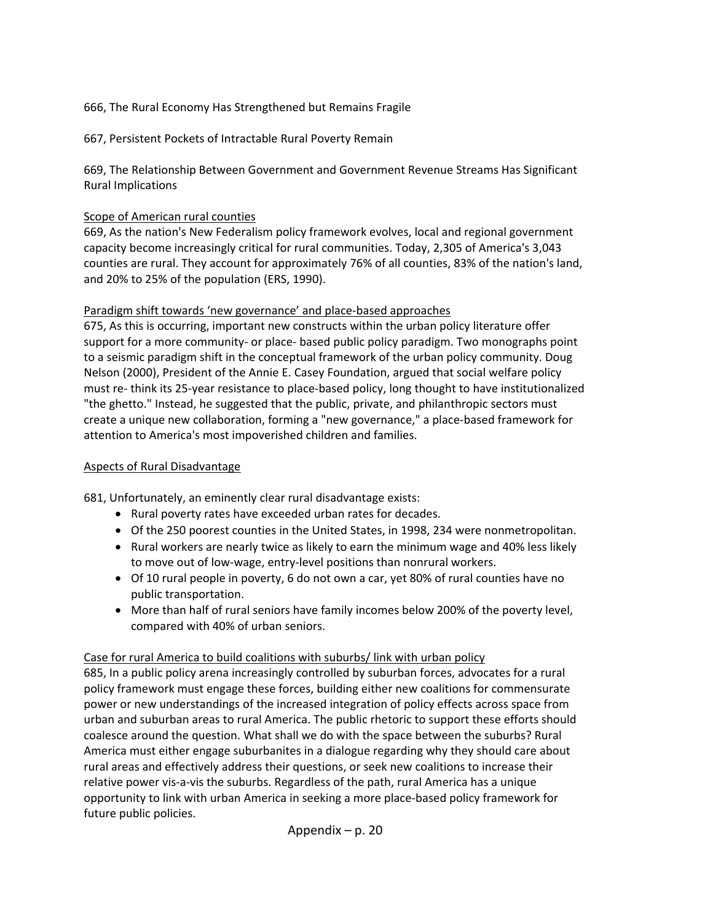#### 666, The Rural Economy Has Strengthened but Remains Fragile

667, Persistent Pockets of Intractable Rural Poverty Remain

669, The Relationship Between Government and Government Revenue Streams Has Significant Rural Implications

## Scope of American rural counties

669, As the nation's New Federalism policy framework evolves, local and regional government capacity become increasingly critical for rural communities. Today, 2,305 of America's 3,043 counties are rural. They account for approximately 76% of all counties, 83% of the nation's land, and 20% to 25% of the population (ERS, 1990).

# Paradigm shift towards 'new governance' and place‐based approaches

675, As this is occurring, important new constructs within the urban policy literature offer support for a more community- or place- based public policy paradigm. Two monographs point to a seismic paradigm shift in the conceptual framework of the urban policy community. Doug Nelson (2000), President of the Annie E. Casey Foundation, argued that social welfare policy must re‐ think its 25‐year resistance to place‐based policy, long thought to have institutionalized "the ghetto." Instead, he suggested that the public, private, and philanthropic sectors must create a unique new collaboration, forming a "new governance," a place‐based framework for attention to America's most impoverished children and families.

# Aspects of Rural Disadvantage

681, Unfortunately, an eminently clear rural disadvantage exists:

- Rural poverty rates have exceeded urban rates for decades.
- Of the 250 poorest counties in the United States, in 1998, 234 were nonmetropolitan.
- Rural workers are nearly twice as likely to earn the minimum wage and 40% less likely to move out of low‐wage, entry‐level positions than nonrural workers.
- Of 10 rural people in poverty, 6 do not own a car, yet 80% of rural counties have no public transportation.
- More than half of rural seniors have family incomes below 200% of the poverty level, compared with 40% of urban seniors.

# Case for rural America to build coalitions with suburbs/ link with urban policy

685, In a public policy arena increasingly controlled by suburban forces, advocates for a rural policy framework must engage these forces, building either new coalitions for commensurate power or new understandings of the increased integration of policy effects across space from urban and suburban areas to rural America. The public rhetoric to support these efforts should coalesce around the question. What shall we do with the space between the suburbs? Rural America must either engage suburbanites in a dialogue regarding why they should care about rural areas and effectively address their questions, or seek new coalitions to increase their relative power vis‐a‐vis the suburbs. Regardless of the path, rural America has a unique opportunity to link with urban America in seeking a more place‐based policy framework for future public policies.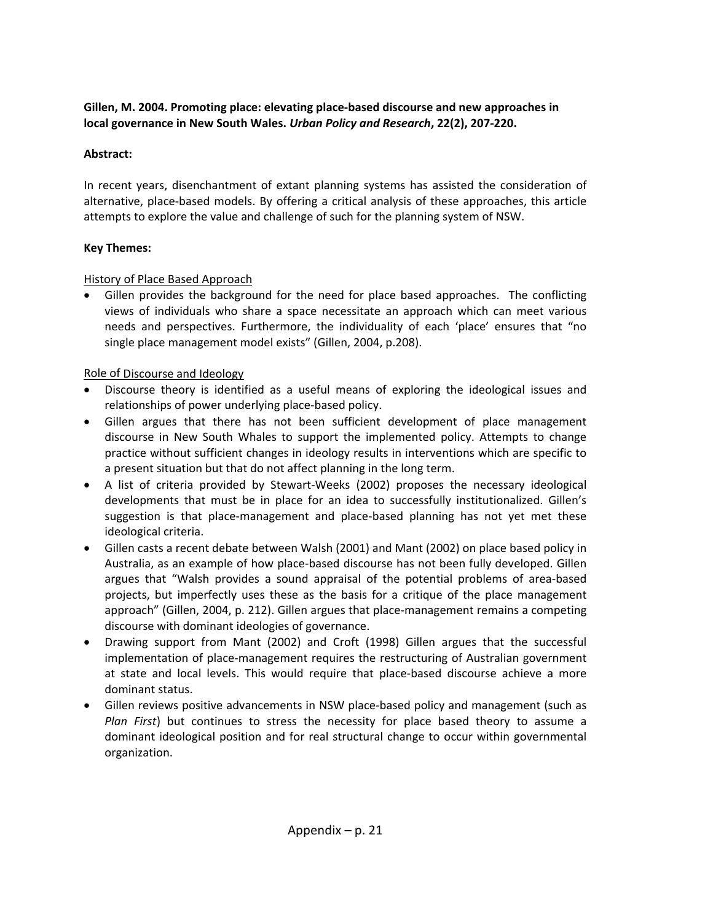#### **Gillen, M. 2004. Promoting place: elevating place‐based discourse and new approaches in local governance in New South Wales.** *Urban Policy and Research***, 22(2), 207‐220.**

## **Abstract:**

In recent years, disenchantment of extant planning systems has assisted the consideration of alternative, place‐based models. By offering a critical analysis of these approaches, this article attempts to explore the value and challenge of such for the planning system of NSW.

## **Key Themes:**

## History of Place Based Approach

• Gillen provides the background for the need for place based approaches. The conflicting views of individuals who share a space necessitate an approach which can meet various needs and perspectives. Furthermore, the individuality of each 'place' ensures that "no single place management model exists" (Gillen, 2004, p.208).

## Role of Discourse and Ideology

- Discourse theory is identified as a useful means of exploring the ideological issues and relationships of power underlying place‐based policy.
- Gillen argues that there has not been sufficient development of place management discourse in New South Whales to support the implemented policy. Attempts to change practice without sufficient changes in ideology results in interventions which are specific to a present situation but that do not affect planning in the long term.
- A list of criteria provided by Stewart-Weeks (2002) proposes the necessary ideological developments that must be in place for an idea to successfully institutionalized. Gillen's suggestion is that place-management and place-based planning has not yet met these ideological criteria.
- Gillen casts a recent debate between Walsh (2001) and Mant (2002) on place based policy in Australia, as an example of how place‐based discourse has not been fully developed. Gillen argues that "Walsh provides a sound appraisal of the potential problems of area‐based projects, but imperfectly uses these as the basis for a critique of the place management approach" (Gillen, 2004, p. 212). Gillen argues that place‐management remains a competing discourse with dominant ideologies of governance.
- Drawing support from Mant (2002) and Croft (1998) Gillen argues that the successful implementation of place-management requires the restructuring of Australian government at state and local levels. This would require that place-based discourse achieve a more dominant status.
- Gillen reviews positive advancements in NSW place‐based policy and management (such as *Plan First*) but continues to stress the necessity for place based theory to assume a dominant ideological position and for real structural change to occur within governmental organization.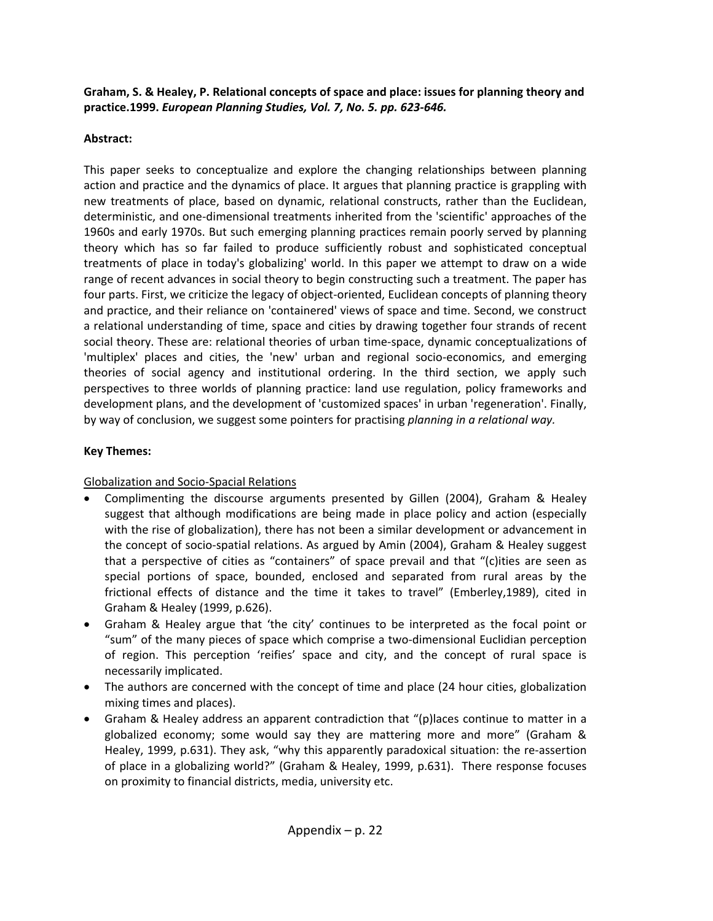**Graham, S. & Healey, P. Relational concepts of space and place: issues for planning theory and practice.1999.** *European Planning Studies, Vol. 7, No. 5. pp. 623‐646.*

#### **Abstract:**

This paper seeks to conceptualize and explore the changing relationships between planning action and practice and the dynamics of place. It argues that planning practice is grappling with new treatments of place, based on dynamic, relational constructs, rather than the Euclidean, deterministic, and one‐dimensional treatments inherited from the 'scientific' approaches of the 1960s and early 1970s. But such emerging planning practices remain poorly served by planning theory which has so far failed to produce sufficiently robust and sophisticated conceptual treatments of place in today's globalizing' world. In this paper we attempt to draw on a wide range of recent advances in social theory to begin constructing such a treatment. The paper has four parts. First, we criticize the legacy of object-oriented, Euclidean concepts of planning theory and practice, and their reliance on 'containered' views of space and time. Second, we construct a relational understanding of time, space and cities by drawing together four strands of recent social theory. These are: relational theories of urban time‐space, dynamic conceptualizations of 'multiplex' places and cities, the 'new' urban and regional socio‐economics, and emerging theories of social agency and institutional ordering. In the third section, we apply such perspectives to three worlds of planning practice: land use regulation, policy frameworks and development plans, and the development of 'customized spaces' in urban 'regeneration'. Finally, by way of conclusion, we suggest some pointers for practising *planning in a relational way.*

# **Key Themes:**

# Globalization and Socio‐Spacial Relations

- Complimenting the discourse arguments presented by Gillen (2004), Graham & Healey suggest that although modifications are being made in place policy and action (especially with the rise of globalization), there has not been a similar development or advancement in the concept of socio‐spatial relations. As argued by Amin (2004), Graham & Healey suggest that a perspective of cities as "containers" of space prevail and that "(c)ities are seen as special portions of space, bounded, enclosed and separated from rural areas by the frictional effects of distance and the time it takes to travel" (Emberley,1989), cited in Graham & Healey (1999, p.626).
- Graham & Healey argue that 'the city' continues to be interpreted as the focal point or "sum" of the many pieces of space which comprise a two‐dimensional Euclidian perception of region. This perception 'reifies' space and city, and the concept of rural space is necessarily implicated.
- The authors are concerned with the concept of time and place (24 hour cities, globalization mixing times and places).
- Graham & Healey address an apparent contradiction that "(p)laces continue to matter in a globalized economy; some would say they are mattering more and more" (Graham & Healey, 1999, p.631). They ask, "why this apparently paradoxical situation: the re‐assertion of place in a globalizing world?" (Graham & Healey, 1999, p.631). There response focuses on proximity to financial districts, media, university etc.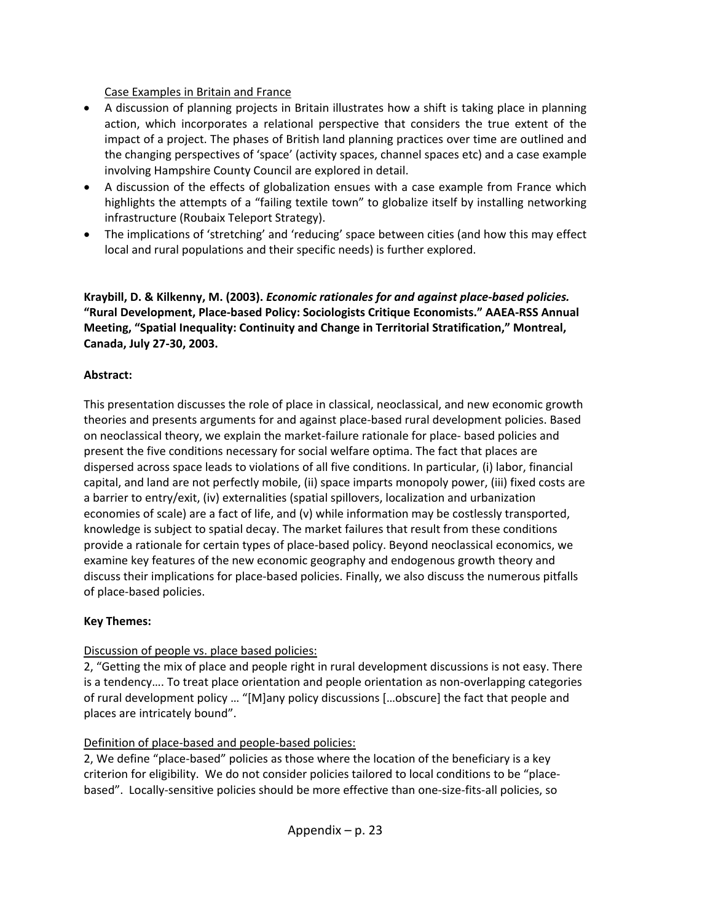Case Examples in Britain and France

- A discussion of planning projects in Britain illustrates how a shift is taking place in planning action, which incorporates a relational perspective that considers the true extent of the impact of a project. The phases of British land planning practices over time are outlined and the changing perspectives of 'space' (activity spaces, channel spaces etc) and a case example involving Hampshire County Council are explored in detail.
- A discussion of the effects of globalization ensues with a case example from France which highlights the attempts of a "failing textile town" to globalize itself by installing networking infrastructure (Roubaix Teleport Strategy).
- The implications of 'stretching' and 'reducing' space between cities (and how this may effect local and rural populations and their specific needs) is further explored.

**Kraybill, D. & Kilkenny, M. (2003).** *Economic rationales for and against place‐based policies.* **"Rural Development, Place‐based Policy: Sociologists Critique Economists." AAEA‐RSS Annual Meeting, "Spatial Inequality: Continuity and Change in Territorial Stratification," Montreal, Canada, July 27‐30, 2003.**

# **Abstract:**

This presentation discusses the role of place in classical, neoclassical, and new economic growth theories and presents arguments for and against place‐based rural development policies. Based on neoclassical theory, we explain the market‐failure rationale for place‐ based policies and present the five conditions necessary for social welfare optima. The fact that places are dispersed across space leads to violations of all five conditions. In particular, (i) labor, financial capital, and land are not perfectly mobile, (ii) space imparts monopoly power, (iii) fixed costs are a barrier to entry/exit, (iv) externalities (spatial spillovers, localization and urbanization economies of scale) are a fact of life, and (v) while information may be costlessly transported, knowledge is subject to spatial decay. The market failures that result from these conditions provide a rationale for certain types of place‐based policy. Beyond neoclassical economics, we examine key features of the new economic geography and endogenous growth theory and discuss their implications for place‐based policies. Finally, we also discuss the numerous pitfalls of place‐based policies.

# **Key Themes:**

# Discussion of people vs. place based policies:

2, "Getting the mix of place and people right in rural development discussions is not easy. There is a tendency…. To treat place orientation and people orientation as non‐overlapping categories of rural development policy … "[M]any policy discussions […obscure] the fact that people and places are intricately bound".

# Definition of place‐based and people‐based policies:

2, We define "place‐based" policies as those where the location of the beneficiary is a key criterion for eligibility. We do not consider policies tailored to local conditions to be "place‐ based". Locally‐sensitive policies should be more effective than one‐size‐fits‐all policies, so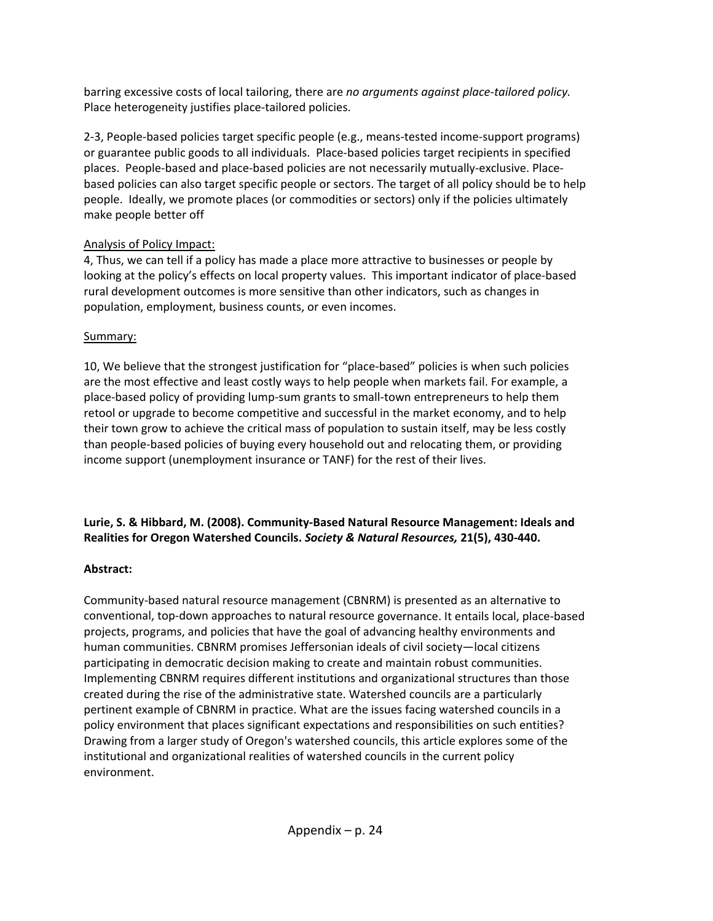barring excessive costs of local tailoring, there are *no arguments against place‐tailored policy.* Place heterogeneity justifies place‐tailored policies.

2‐3, People‐based policies target specific people (e.g., means‐tested income‐support programs) or guarantee public goods to all individuals. Place‐based policies target recipients in specified places. People‐based and place‐based policies are not necessarily mutually‐exclusive. Place‐ based policies can also target specific people or sectors. The target of all policy should be to help people. Ideally, we promote places (or commodities or sectors) only if the policies ultimately make people better off

# Analysis of Policy Impact:

4, Thus, we can tell if a policy has made a place more attractive to businesses or people by looking at the policy's effects on local property values. This important indicator of place‐based rural development outcomes is more sensitive than other indicators, such as changes in population, employment, business counts, or even incomes.

# Summary:

10, We believe that the strongest justification for "place-based" policies is when such policies are the most effective and least costly ways to help people when markets fail. For example, a place‐based policy of providing lump‐sum grants to small‐town entrepreneurs to help them retool or upgrade to become competitive and successful in the market economy, and to help their town grow to achieve the critical mass of population to sustain itself, may be less costly than people‐based policies of buying every household out and relocating them, or providing income support (unemployment insurance or TANF) for the rest of their lives.

# **Lurie, S. & Hibbard, M. (2008). Community‐Based Natural Resource Management: Ideals and Realities for Oregon Watershed Councils.** *Society & Natural Resources,* **21(5), 430‐440.**

# **Abstract:**

Community‐based natural resource management (CBNRM) is presented as an alternative to conventional, top‐down approaches to natural resource governance. It entails local, place‐based projects, programs, and policies that have the goal of advancing healthy environments and human communities. CBNRM promises Jeffersonian ideals of civil society—local citizens participating in democratic decision making to create and maintain robust communities. Implementing CBNRM requires different institutions and organizational structures than those created during the rise of the administrative state. Watershed councils are a particularly pertinent example of CBNRM in practice. What are the issues facing watershed councils in a policy environment that places significant expectations and responsibilities on such entities? Drawing from a larger study of Oregon's watershed councils, this article explores some of the institutional and organizational realities of watershed councils in the current policy environment.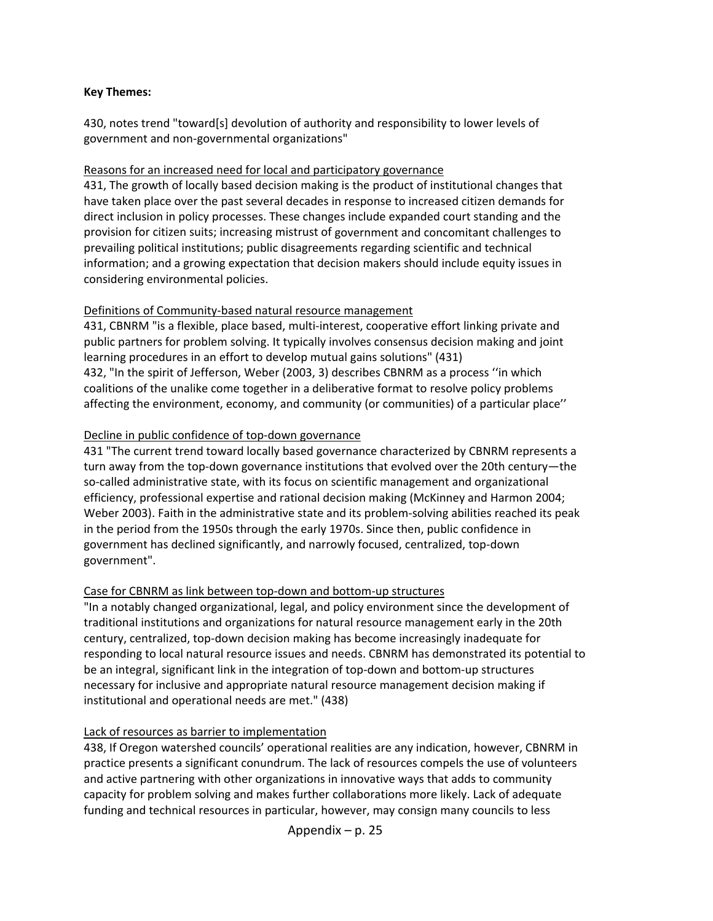#### **Key Themes:**

430, notes trend "toward[s] devolution of authority and responsibility to lower levels of government and non‐governmental organizations"

#### Reasons for an increased need for local and participatory governance

431, The growth of locally based decision making is the product of institutional changes that have taken place over the past several decades in response to increased citizen demands for direct inclusion in policy processes. These changes include expanded court standing and the provision for citizen suits; increasing mistrust of government and concomitant challenges to prevailing political institutions; public disagreements regarding scientific and technical information; and a growing expectation that decision makers should include equity issues in considering environmental policies.

#### Definitions of Community‐based natural resource management

431, CBNRM "is a flexible, place based, multi-interest, cooperative effort linking private and public partners for problem solving. It typically involves consensus decision making and joint learning procedures in an effort to develop mutual gains solutions" (431) 432, "In the spirit of Jefferson, Weber (2003, 3) describes CBNRM as a process ''in which coalitions of the unalike come together in a deliberative format to resolve policy problems affecting the environment, economy, and community (or communities) of a particular place''

#### Decline in public confidence of top-down governance

431 "The current trend toward locally based governance characterized by CBNRM represents a turn away from the top-down governance institutions that evolved over the 20th century—the so-called administrative state, with its focus on scientific management and organizational efficiency, professional expertise and rational decision making (McKinney and Harmon 2004; Weber 2003). Faith in the administrative state and its problem‐solving abilities reached its peak in the period from the 1950s through the early 1970s. Since then, public confidence in government has declined significantly, and narrowly focused, centralized, top‐down government".

#### Case for CBNRM as link between top‐down and bottom‐up structures

"In a notably changed organizational, legal, and policy environment since the development of traditional institutions and organizations for natural resource management early in the 20th century, centralized, top‐down decision making has become increasingly inadequate for responding to local natural resource issues and needs. CBNRM has demonstrated its potential to be an integral, significant link in the integration of top-down and bottom-up structures necessary for inclusive and appropriate natural resource management decision making if institutional and operational needs are met." (438)

#### Lack of resources as barrier to implementation

438, If Oregon watershed councils' operational realities are any indication, however, CBNRM in practice presents a significant conundrum. The lack of resources compels the use of volunteers and active partnering with other organizations in innovative ways that adds to community capacity for problem solving and makes further collaborations more likely. Lack of adequate funding and technical resources in particular, however, may consign many councils to less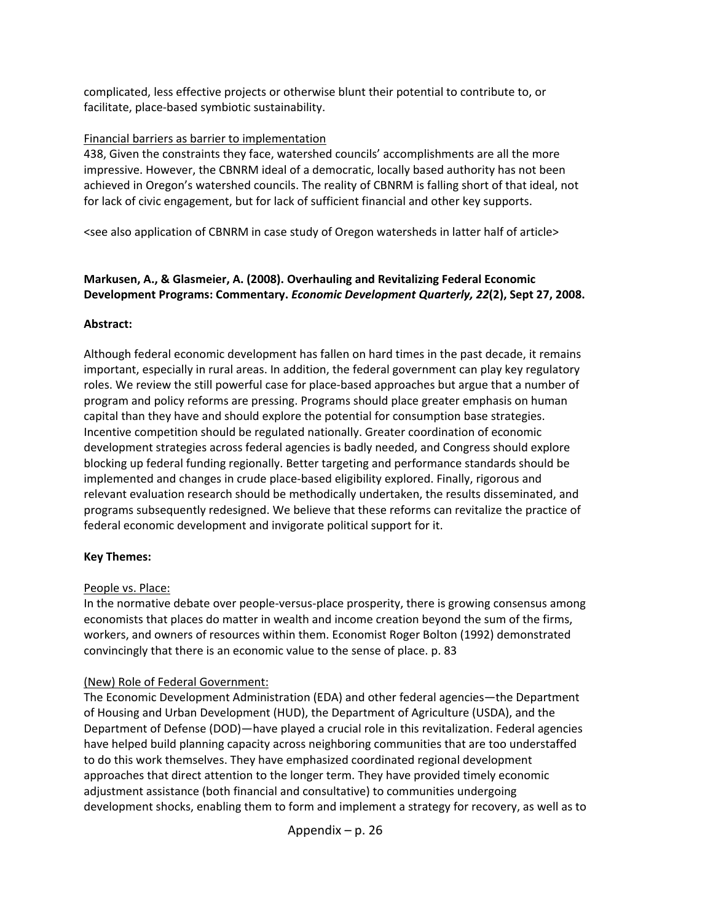complicated, less effective projects or otherwise blunt their potential to contribute to, or facilitate, place‐based symbiotic sustainability.

#### Financial barriers as barrier to implementation

438, Given the constraints they face, watershed councils' accomplishments are all the more impressive. However, the CBNRM ideal of a democratic, locally based authority has not been achieved in Oregon's watershed councils. The reality of CBNRM is falling short of that ideal, not for lack of civic engagement, but for lack of sufficient financial and other key supports.

<see also application of CBNRM in case study of Oregon watersheds in latter half of article>

#### **Markusen, A., & Glasmeier, A. (2008). Overhauling and Revitalizing Federal Economic Development Programs: Commentary.** *Economic Development Quarterly, 22***(2), Sept 27, 2008.**

#### **Abstract:**

Although federal economic development has fallen on hard times in the past decade, it remains important, especially in rural areas. In addition, the federal government can play key regulatory roles. We review the still powerful case for place‐based approaches but argue that a number of program and policy reforms are pressing. Programs should place greater emphasis on human capital than they have and should explore the potential for consumption base strategies. Incentive competition should be regulated nationally. Greater coordination of economic development strategies across federal agencies is badly needed, and Congress should explore blocking up federal funding regionally. Better targeting and performance standards should be implemented and changes in crude place‐based eligibility explored. Finally, rigorous and relevant evaluation research should be methodically undertaken, the results disseminated, and programs subsequently redesigned. We believe that these reforms can revitalize the practice of federal economic development and invigorate political support for it.

#### **Key Themes:**

#### People vs. Place:

In the normative debate over people-versus-place prosperity, there is growing consensus among economists that places do matter in wealth and income creation beyond the sum of the firms, workers, and owners of resources within them. Economist Roger Bolton (1992) demonstrated convincingly that there is an economic value to the sense of place. p. 83

#### (New) Role of Federal Government:

The Economic Development Administration (EDA) and other federal agencies—the Department of Housing and Urban Development (HUD), the Department of Agriculture (USDA), and the Department of Defense (DOD)—have played a crucial role in this revitalization. Federal agencies have helped build planning capacity across neighboring communities that are too understaffed to do this work themselves. They have emphasized coordinated regional development approaches that direct attention to the longer term. They have provided timely economic adjustment assistance (both financial and consultative) to communities undergoing development shocks, enabling them to form and implement a strategy for recovery, as well as to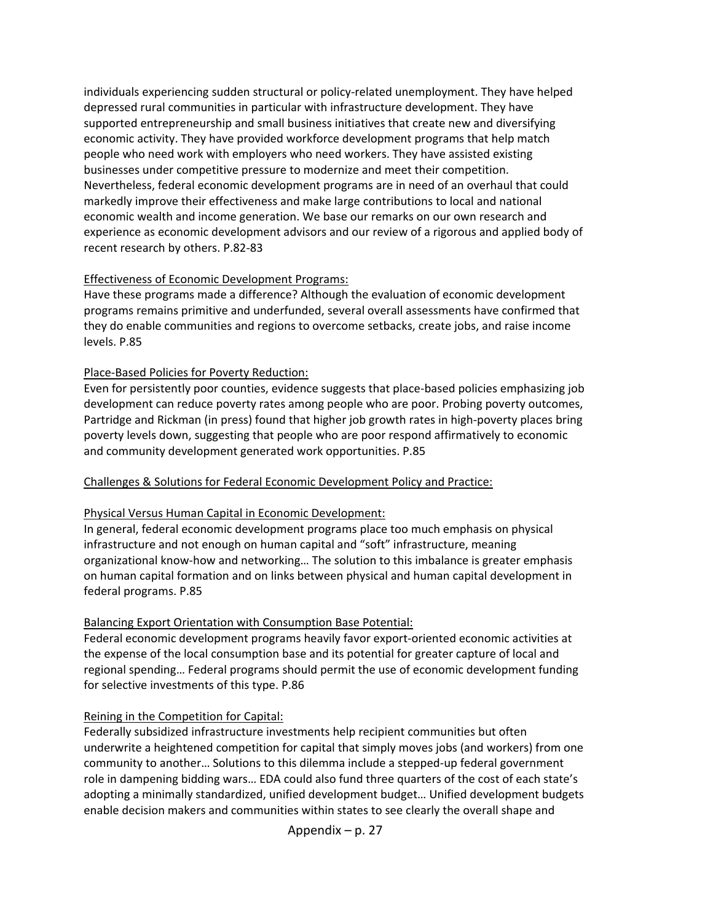individuals experiencing sudden structural or policy-related unemployment. They have helped depressed rural communities in particular with infrastructure development. They have supported entrepreneurship and small business initiatives that create new and diversifying economic activity. They have provided workforce development programs that help match people who need work with employers who need workers. They have assisted existing businesses under competitive pressure to modernize and meet their competition. Nevertheless, federal economic development programs are in need of an overhaul that could markedly improve their effectiveness and make large contributions to local and national economic wealth and income generation. We base our remarks on our own research and experience as economic development advisors and our review of a rigorous and applied body of recent research by others. P.82‐83

#### Effectiveness of Economic Development Programs:

Have these programs made a difference? Although the evaluation of economic development programs remains primitive and underfunded, several overall assessments have confirmed that they do enable communities and regions to overcome setbacks, create jobs, and raise income levels. P.85

#### Place‐Based Policies for Poverty Reduction:

Even for persistently poor counties, evidence suggests that place-based policies emphasizing job development can reduce poverty rates among people who are poor. Probing poverty outcomes, Partridge and Rickman (in press) found that higher job growth rates in high‐poverty places bring poverty levels down, suggesting that people who are poor respond affirmatively to economic and community development generated work opportunities. P.85

#### Challenges & Solutions for Federal Economic Development Policy and Practice:

#### Physical Versus Human Capital in Economic Development:

In general, federal economic development programs place too much emphasis on physical infrastructure and not enough on human capital and "soft" infrastructure, meaning organizational know‐how and networking… The solution to this imbalance is greater emphasis on human capital formation and on links between physical and human capital development in federal programs. P.85

#### Balancing Export Orientation with Consumption Base Potential:

Federal economic development programs heavily favor export-oriented economic activities at the expense of the local consumption base and its potential for greater capture of local and regional spending… Federal programs should permit the use of economic development funding for selective investments of this type. P.86

#### Reining in the Competition for Capital:

Federally subsidized infrastructure investments help recipient communities but often underwrite a heightened competition for capital that simply moves jobs (and workers) from one community to another… Solutions to this dilemma include a stepped‐up federal government role in dampening bidding wars… EDA could also fund three quarters of the cost of each state's adopting a minimally standardized, unified development budget… Unified development budgets enable decision makers and communities within states to see clearly the overall shape and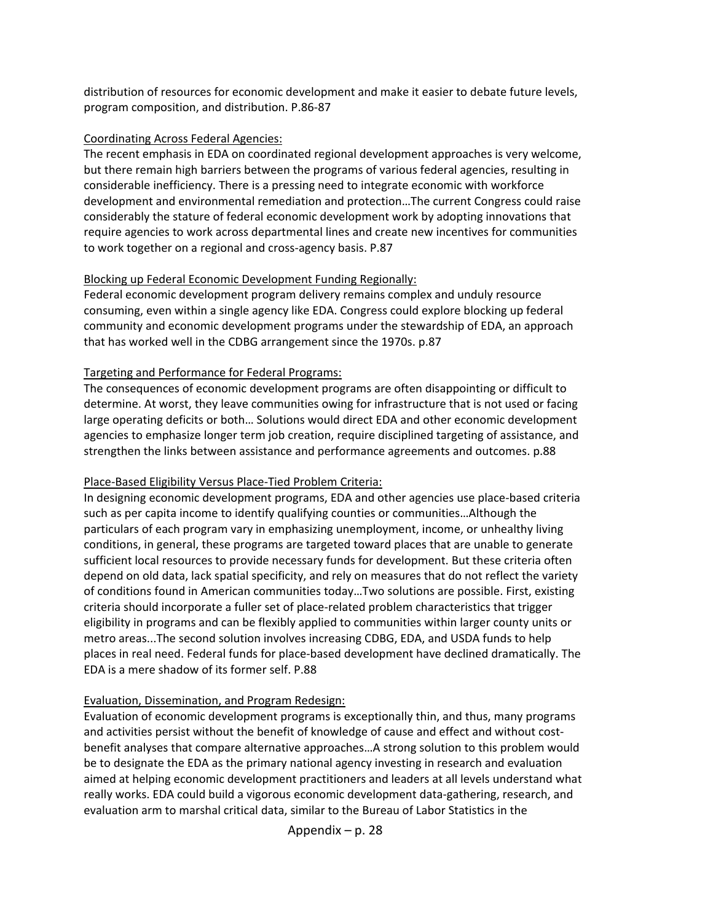distribution of resources for economic development and make it easier to debate future levels, program composition, and distribution. P.86‐87

#### Coordinating Across Federal Agencies:

The recent emphasis in EDA on coordinated regional development approaches is very welcome, but there remain high barriers between the programs of various federal agencies, resulting in considerable inefficiency. There is a pressing need to integrate economic with workforce development and environmental remediation and protection…The current Congress could raise considerably the stature of federal economic development work by adopting innovations that require agencies to work across departmental lines and create new incentives for communities to work together on a regional and cross-agency basis. P.87

#### Blocking up Federal Economic Development Funding Regionally:

Federal economic development program delivery remains complex and unduly resource consuming, even within a single agency like EDA. Congress could explore blocking up federal community and economic development programs under the stewardship of EDA, an approach that has worked well in the CDBG arrangement since the 1970s. p.87

#### Targeting and Performance for Federal Programs:

The consequences of economic development programs are often disappointing or difficult to determine. At worst, they leave communities owing for infrastructure that is not used or facing large operating deficits or both… Solutions would direct EDA and other economic development agencies to emphasize longer term job creation, require disciplined targeting of assistance, and strengthen the links between assistance and performance agreements and outcomes. p.88

#### Place‐Based Eligibility Versus Place‐Tied Problem Criteria:

In designing economic development programs, EDA and other agencies use place‐based criteria such as per capita income to identify qualifying counties or communities…Although the particulars of each program vary in emphasizing unemployment, income, or unhealthy living conditions, in general, these programs are targeted toward places that are unable to generate sufficient local resources to provide necessary funds for development. But these criteria often depend on old data, lack spatial specificity, and rely on measures that do not reflect the variety of conditions found in American communities today…Two solutions are possible. First, existing criteria should incorporate a fuller set of place‐related problem characteristics that trigger eligibility in programs and can be flexibly applied to communities within larger county units or metro areas...The second solution involves increasing CDBG, EDA, and USDA funds to help places in real need. Federal funds for place‐based development have declined dramatically. The EDA is a mere shadow of its former self. P.88

#### Evaluation, Dissemination, and Program Redesign:

Evaluation of economic development programs is exceptionally thin, and thus, many programs and activities persist without the benefit of knowledge of cause and effect and without costbenefit analyses that compare alternative approaches…A strong solution to this problem would be to designate the EDA as the primary national agency investing in research and evaluation aimed at helping economic development practitioners and leaders at all levels understand what really works. EDA could build a vigorous economic development data‐gathering, research, and evaluation arm to marshal critical data, similar to the Bureau of Labor Statistics in the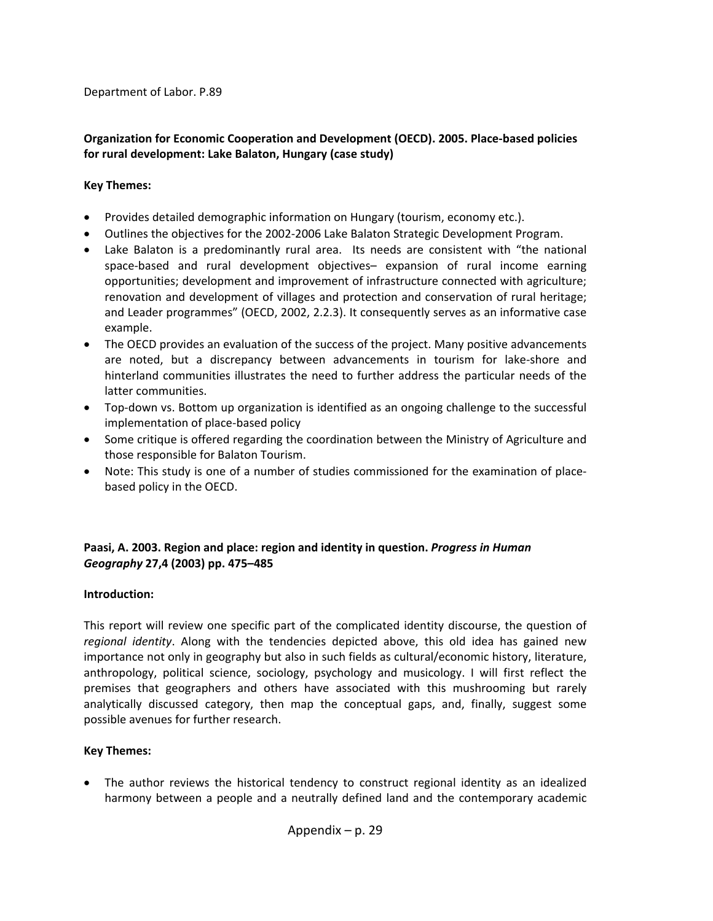Department of Labor. P.89

#### **Organization for Economic Cooperation and Development (OECD). 2005. Place‐based policies for rural development: Lake Balaton, Hungary (case study)**

#### **Key Themes:**

- Provides detailed demographic information on Hungary (tourism, economy etc.).
- Outlines the objectives for the 2002‐2006 Lake Balaton Strategic Development Program.
- Lake Balaton is a predominantly rural area. Its needs are consistent with "the national space‐based and rural development objectives– expansion of rural income earning opportunities; development and improvement of infrastructure connected with agriculture; renovation and development of villages and protection and conservation of rural heritage; and Leader programmes" (OECD, 2002, 2.2.3). It consequently serves as an informative case example.
- The OECD provides an evaluation of the success of the project. Many positive advancements are noted, but a discrepancy between advancements in tourism for lake‐shore and hinterland communities illustrates the need to further address the particular needs of the latter communities.
- Top‐down vs. Bottom up organization is identified as an ongoing challenge to the successful implementation of place‐based policy
- Some critique is offered regarding the coordination between the Ministry of Agriculture and those responsible for Balaton Tourism.
- Note: This study is one of a number of studies commissioned for the examination of placebased policy in the OECD.

# **Paasi, A. 2003. Region and place: region and identity in question.** *Progress in Human Geography* **27,4 (2003) pp. 475–485**

#### **Introduction:**

This report will review one specific part of the complicated identity discourse, the question of *regional identity*. Along with the tendencies depicted above, this old idea has gained new importance not only in geography but also in such fields as cultural/economic history, literature, anthropology, political science, sociology, psychology and musicology. I will first reflect the premises that geographers and others have associated with this mushrooming but rarely analytically discussed category, then map the conceptual gaps, and, finally, suggest some possible avenues for further research.

# **Key Themes:**

The author reviews the historical tendency to construct regional identity as an idealized harmony between a people and a neutrally defined land and the contemporary academic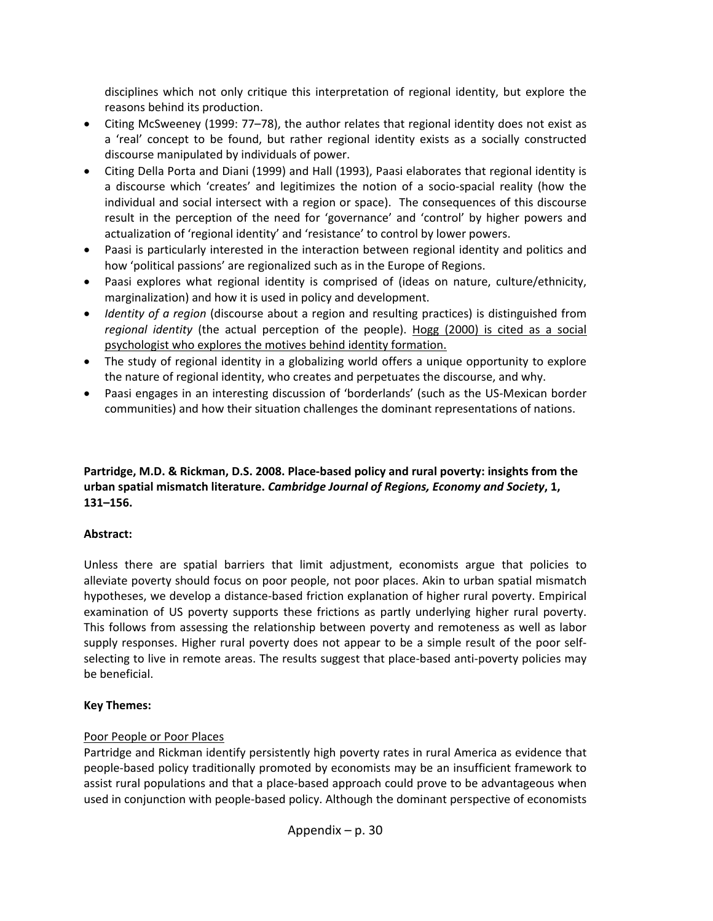disciplines which not only critique this interpretation of regional identity, but explore the reasons behind its production.

- Citing McSweeney (1999: 77–78), the author relates that regional identity does not exist as a 'real' concept to be found, but rather regional identity exists as a socially constructed discourse manipulated by individuals of power.
- Citing Della Porta and Diani (1999) and Hall (1993), Paasi elaborates that regional identity is a discourse which 'creates' and legitimizes the notion of a socio‐spacial reality (how the individual and social intersect with a region or space). The consequences of this discourse result in the perception of the need for 'governance' and 'control' by higher powers and actualization of 'regional identity' and 'resistance' to control by lower powers.
- Paasi is particularly interested in the interaction between regional identity and politics and how 'political passions' are regionalized such as in the Europe of Regions.
- Paasi explores what regional identity is comprised of (ideas on nature, culture/ethnicity, marginalization) and how it is used in policy and development.
- *Identity of a region* (discourse about a region and resulting practices) is distinguished from *regional identity* (the actual perception of the people). Hogg (2000) is cited as a social psychologist who explores the motives behind identity formation.
- The study of regional identity in a globalizing world offers a unique opportunity to explore the nature of regional identity, who creates and perpetuates the discourse, and why.
- Paasi engages in an interesting discussion of 'borderlands' (such as the US-Mexican border communities) and how their situation challenges the dominant representations of nations.

## **Partridge, M.D. & Rickman, D.S. 2008. Place‐based policy and rural poverty: insights from the urban spatial mismatch literature.** *Cambridge Journal of Regions, Economy and Society***, 1, 131–156.**

# **Abstract:**

Unless there are spatial barriers that limit adjustment, economists argue that policies to alleviate poverty should focus on poor people, not poor places. Akin to urban spatial mismatch hypotheses, we develop a distance‐based friction explanation of higher rural poverty. Empirical examination of US poverty supports these frictions as partly underlying higher rural poverty. This follows from assessing the relationship between poverty and remoteness as well as labor supply responses. Higher rural poverty does not appear to be a simple result of the poor self‐ selecting to live in remote areas. The results suggest that place-based anti-poverty policies may be beneficial.

# **Key Themes:**

# Poor People or Poor Places

Partridge and Rickman identify persistently high poverty rates in rural America as evidence that people‐based policy traditionally promoted by economists may be an insufficient framework to assist rural populations and that a place‐based approach could prove to be advantageous when used in conjunction with people‐based policy. Although the dominant perspective of economists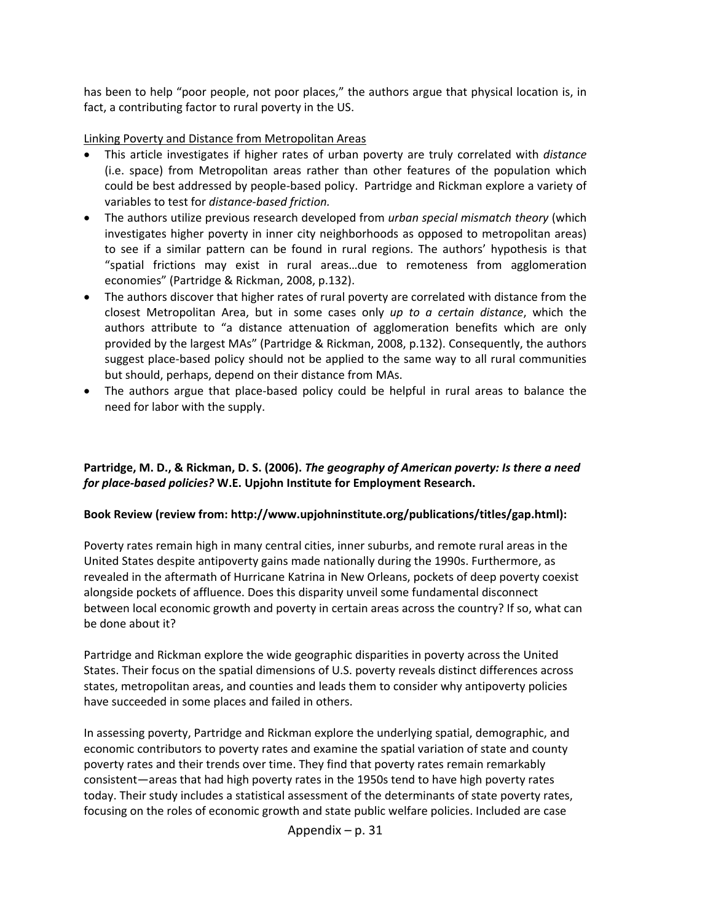has been to help "poor people, not poor places," the authors argue that physical location is, in fact, a contributing factor to rural poverty in the US.

#### Linking Poverty and Distance from Metropolitan Areas

- This article investigates if higher rates of urban poverty are truly correlated with *distance* (i.e. space) from Metropolitan areas rather than other features of the population which could be best addressed by people‐based policy. Partridge and Rickman explore a variety of variables to test for *distance‐based friction.*
- The authors utilize previous research developed from *urban special mismatch theory* (which investigates higher poverty in inner city neighborhoods as opposed to metropolitan areas) to see if a similar pattern can be found in rural regions. The authors' hypothesis is that "spatial frictions may exist in rural areas…due to remoteness from agglomeration economies" (Partridge & Rickman, 2008, p.132).
- The authors discover that higher rates of rural poverty are correlated with distance from the closest Metropolitan Area, but in some cases only *up to a certain distance*, which the authors attribute to "a distance attenuation of agglomeration benefits which are only provided by the largest MAs" (Partridge & Rickman, 2008, p.132). Consequently, the authors suggest place‐based policy should not be applied to the same way to all rural communities but should, perhaps, depend on their distance from MAs.
- The authors argue that place-based policy could be helpful in rural areas to balance the need for labor with the supply.

#### **Partridge, M. D., & Rickman, D. S. (2006).** *The geography of American poverty: Is there a need for place‐based policies?* **W.E. Upjohn Institute for Employment Research.**

#### **Book Review (review from: http://www.upjohninstitute.org/publications/titles/gap.html):**

Poverty rates remain high in many central cities, inner suburbs, and remote rural areas in the United States despite antipoverty gains made nationally during the 1990s. Furthermore, as revealed in the aftermath of Hurricane Katrina in New Orleans, pockets of deep poverty coexist alongside pockets of affluence. Does this disparity unveil some fundamental disconnect between local economic growth and poverty in certain areas across the country? If so, what can be done about it?

Partridge and Rickman explore the wide geographic disparities in poverty across the United States. Their focus on the spatial dimensions of U.S. poverty reveals distinct differences across states, metropolitan areas, and counties and leads them to consider why antipoverty policies have succeeded in some places and failed in others.

In assessing poverty, Partridge and Rickman explore the underlying spatial, demographic, and economic contributors to poverty rates and examine the spatial variation of state and county poverty rates and their trends over time. They find that poverty rates remain remarkably consistent—areas that had high poverty rates in the 1950s tend to have high poverty rates today. Their study includes a statistical assessment of the determinants of state poverty rates, focusing on the roles of economic growth and state public welfare policies. Included are case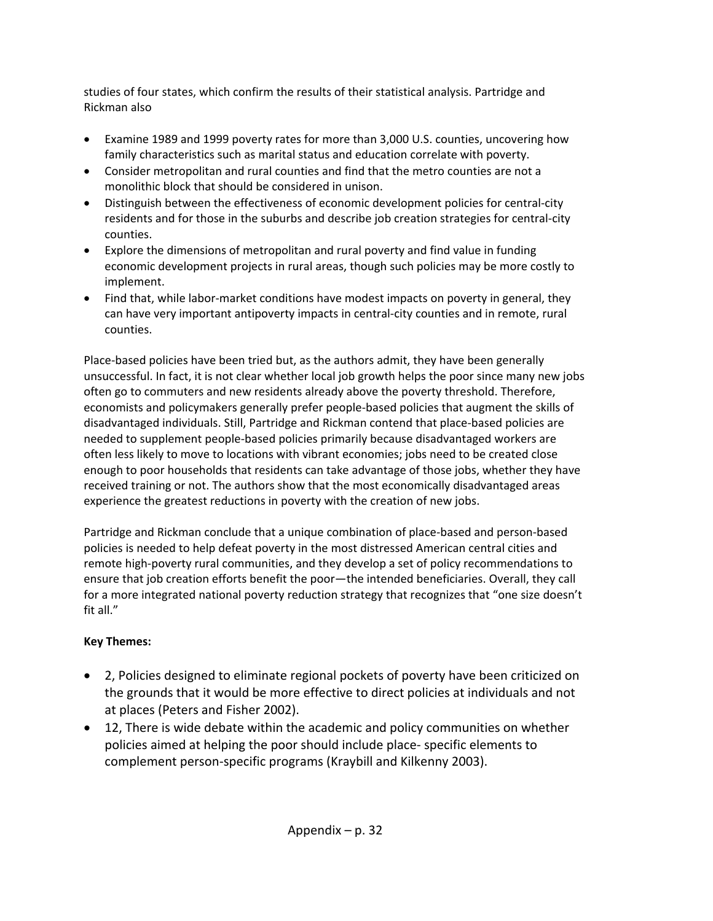studies of four states, which confirm the results of their statistical analysis. Partridge and Rickman also

- Examine 1989 and 1999 poverty rates for more than 3,000 U.S. counties, uncovering how family characteristics such as marital status and education correlate with poverty.
- Consider metropolitan and rural counties and find that the metro counties are not a monolithic block that should be considered in unison.
- Distinguish between the effectiveness of economic development policies for central‐city residents and for those in the suburbs and describe job creation strategies for central‐city counties.
- Explore the dimensions of metropolitan and rural poverty and find value in funding economic development projects in rural areas, though such policies may be more costly to implement.
- Find that, while labor-market conditions have modest impacts on poverty in general, they can have very important antipoverty impacts in central‐city counties and in remote, rural counties.

Place-based policies have been tried but, as the authors admit, they have been generally unsuccessful. In fact, it is not clear whether local job growth helps the poor since many new jobs often go to commuters and new residents already above the poverty threshold. Therefore, economists and policymakers generally prefer people‐based policies that augment the skills of disadvantaged individuals. Still, Partridge and Rickman contend that place‐based policies are needed to supplement people‐based policies primarily because disadvantaged workers are often less likely to move to locations with vibrant economies; jobs need to be created close enough to poor households that residents can take advantage of those jobs, whether they have received training or not. The authors show that the most economically disadvantaged areas experience the greatest reductions in poverty with the creation of new jobs.

Partridge and Rickman conclude that a unique combination of place‐based and person‐based policies is needed to help defeat poverty in the most distressed American central cities and remote high‐poverty rural communities, and they develop a set of policy recommendations to ensure that job creation efforts benefit the poor—the intended beneficiaries. Overall, they call for a more integrated national poverty reduction strategy that recognizes that "one size doesn't fit all."

# **Key Themes:**

- 2, Policies designed to eliminate regional pockets of poverty have been criticized on the grounds that it would be more effective to direct policies at individuals and not at places (Peters and Fisher 2002).
- 12, There is wide debate within the academic and policy communities on whether policies aimed at helping the poor should include place‐ specific elements to complement person‐specific programs (Kraybill and Kilkenny 2003).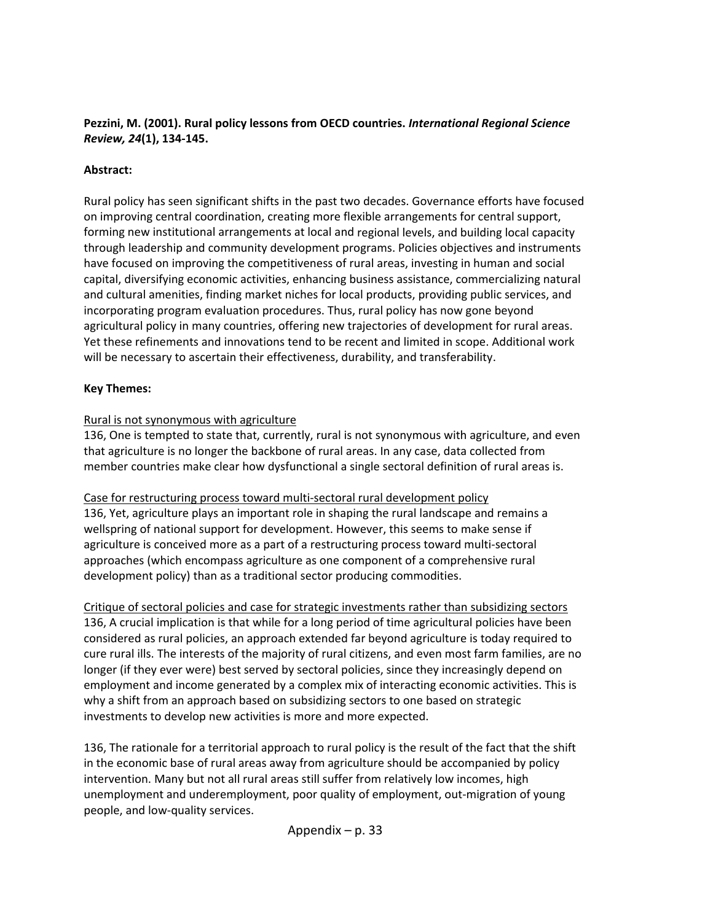## **Pezzini, M. (2001). Rural policy lessons from OECD countries.** *International Regional Science Review, 24***(1), 134‐145.**

## **Abstract:**

Rural policy has seen significant shifts in the past two decades. Governance efforts have focused on improving central coordination, creating more flexible arrangements for central support, forming new institutional arrangements at local and regional levels, and building local capacity through leadership and community development programs. Policies objectives and instruments have focused on improving the competitiveness of rural areas, investing in human and social capital, diversifying economic activities, enhancing business assistance, commercializing natural and cultural amenities, finding market niches for local products, providing public services, and incorporating program evaluation procedures. Thus, rural policy has now gone beyond agricultural policy in many countries, offering new trajectories of development for rural areas. Yet these refinements and innovations tend to be recent and limited in scope. Additional work will be necessary to ascertain their effectiveness, durability, and transferability.

#### **Key Themes:**

## Rural is not synonymous with agriculture

136, One is tempted to state that, currently, rural is not synonymous with agriculture, and even that agriculture is no longer the backbone of rural areas. In any case, data collected from member countries make clear how dysfunctional a single sectoral definition of rural areas is.

# Case for restructuring process toward multi‐sectoral rural development policy

136, Yet, agriculture plays an important role in shaping the rural landscape and remains a wellspring of national support for development. However, this seems to make sense if agriculture is conceived more as a part of a restructuring process toward multi‐sectoral approaches (which encompass agriculture as one component of a comprehensive rural development policy) than as a traditional sector producing commodities.

Critique of sectoral policies and case for strategic investments rather than subsidizing sectors 136, A crucial implication is that while for a long period of time agricultural policies have been considered as rural policies, an approach extended far beyond agriculture is today required to cure rural ills. The interests of the majority of rural citizens, and even most farm families, are no longer (if they ever were) best served by sectoral policies, since they increasingly depend on employment and income generated by a complex mix of interacting economic activities. This is why a shift from an approach based on subsidizing sectors to one based on strategic investments to develop new activities is more and more expected.

136, The rationale for a territorial approach to rural policy is the result of the fact that the shift in the economic base of rural areas away from agriculture should be accompanied by policy intervention. Many but not all rural areas still suffer from relatively low incomes, high unemployment and underemployment, poor quality of employment, out‐migration of young people, and low‐quality services.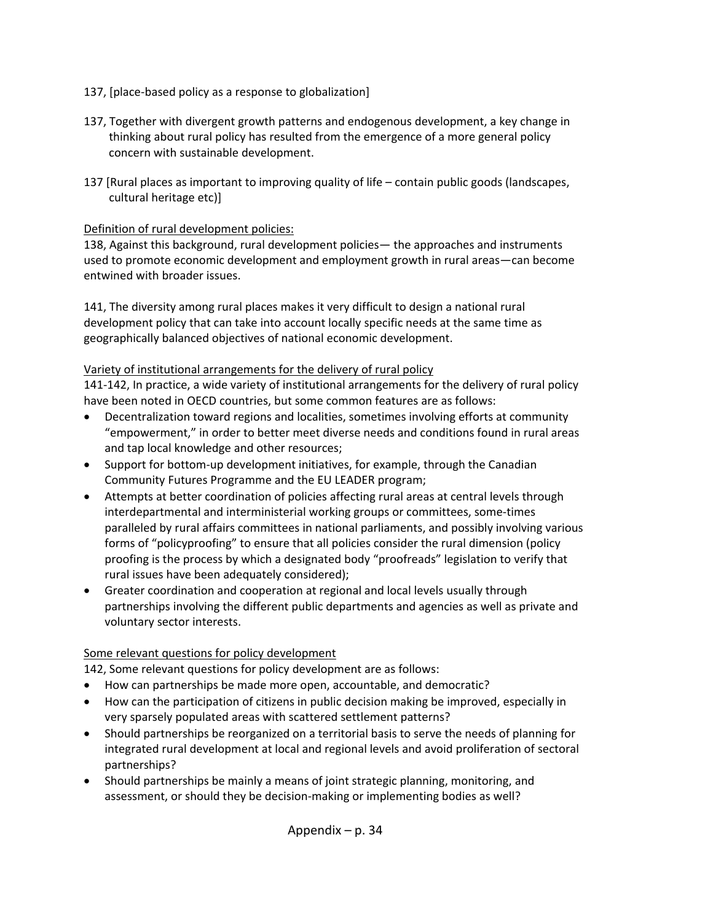- 137, [place‐based policy as a response to globalization]
- 137, Together with divergent growth patterns and endogenous development, a key change in thinking about rural policy has resulted from the emergence of a more general policy concern with sustainable development.
- 137 [Rural places as important to improving quality of life contain public goods (landscapes, cultural heritage etc)]

#### Definition of rural development policies:

138, Against this background, rural development policies— the approaches and instruments used to promote economic development and employment growth in rural areas—can become entwined with broader issues.

141, The diversity among rural places makes it very difficult to design a national rural development policy that can take into account locally specific needs at the same time as geographically balanced objectives of national economic development.

#### Variety of institutional arrangements for the delivery of rural policy

141-142, In practice, a wide variety of institutional arrangements for the delivery of rural policy have been noted in OECD countries, but some common features are as follows:

- Decentralization toward regions and localities, sometimes involving efforts at community "empowerment," in order to better meet diverse needs and conditions found in rural areas and tap local knowledge and other resources;
- Support for bottom-up development initiatives, for example, through the Canadian Community Futures Programme and the EU LEADER program;
- Attempts at better coordination of policies affecting rural areas at central levels through interdepartmental and interministerial working groups or committees, some-times paralleled by rural affairs committees in national parliaments, and possibly involving various forms of "policyproofing" to ensure that all policies consider the rural dimension (policy proofing is the process by which a designated body "proofreads" legislation to verify that rural issues have been adequately considered);
- Greater coordination and cooperation at regional and local levels usually through partnerships involving the different public departments and agencies as well as private and voluntary sector interests.

#### Some relevant questions for policy development

142, Some relevant questions for policy development are as follows:

- How can partnerships be made more open, accountable, and democratic?
- How can the participation of citizens in public decision making be improved, especially in very sparsely populated areas with scattered settlement patterns?
- Should partnerships be reorganized on a territorial basis to serve the needs of planning for integrated rural development at local and regional levels and avoid proliferation of sectoral partnerships?
- Should partnerships be mainly a means of joint strategic planning, monitoring, and assessment, or should they be decision-making or implementing bodies as well?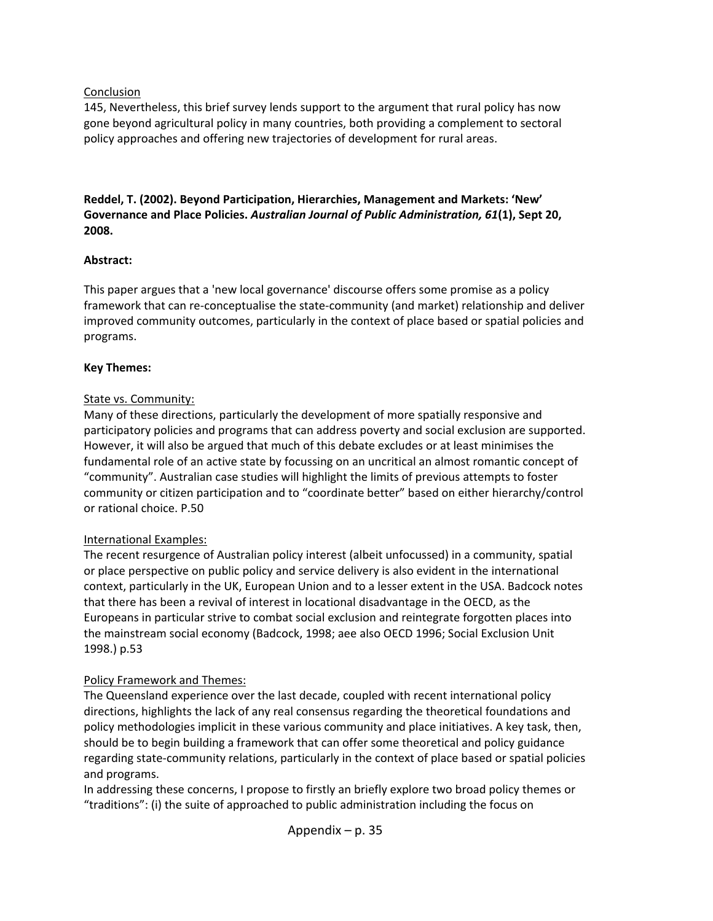#### Conclusion

145, Nevertheless, this brief survey lends support to the argument that rural policy has now gone beyond agricultural policy in many countries, both providing a complement to sectoral policy approaches and offering new trajectories of development for rural areas.

**Reddel, T. (2002). Beyond Participation, Hierarchies, Management and Markets: 'New' Governance and Place Policies.** *Australian Journal of Public Administration, 61***(1), Sept 20, 2008.** 

#### **Abstract:**

This paper argues that a 'new local governance' discourse offers some promise as a policy framework that can re‐conceptualise the state‐community (and market) relationship and deliver improved community outcomes, particularly in the context of place based or spatial policies and programs.

#### **Key Themes:**

#### State vs. Community:

Many of these directions, particularly the development of more spatially responsive and participatory policies and programs that can address poverty and social exclusion are supported. However, it will also be argued that much of this debate excludes or at least minimises the fundamental role of an active state by focussing on an uncritical an almost romantic concept of "community". Australian case studies will highlight the limits of previous attempts to foster community or citizen participation and to "coordinate better" based on either hierarchy/control or rational choice. P.50

#### International Examples:

The recent resurgence of Australian policy interest (albeit unfocussed) in a community, spatial or place perspective on public policy and service delivery is also evident in the international context, particularly in the UK, European Union and to a lesser extent in the USA. Badcock notes that there has been a revival of interest in locational disadvantage in the OECD, as the Europeans in particular strive to combat social exclusion and reintegrate forgotten places into the mainstream social economy (Badcock, 1998; aee also OECD 1996; Social Exclusion Unit 1998.) p.53

#### Policy Framework and Themes:

The Queensland experience over the last decade, coupled with recent international policy directions, highlights the lack of any real consensus regarding the theoretical foundations and policy methodologies implicit in these various community and place initiatives. A key task, then, should be to begin building a framework that can offer some theoretical and policy guidance regarding state‐community relations, particularly in the context of place based or spatial policies and programs.

In addressing these concerns, I propose to firstly an briefly explore two broad policy themes or "traditions": (i) the suite of approached to public administration including the focus on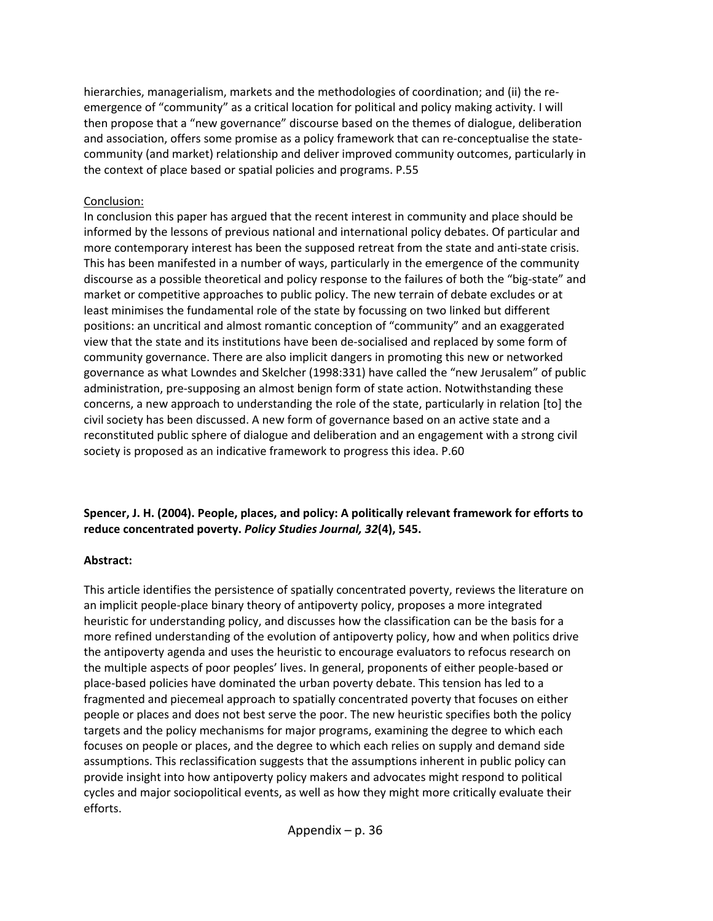hierarchies, managerialism, markets and the methodologies of coordination; and (ii) the reemergence of "community" as a critical location for political and policy making activity. I will then propose that a "new governance" discourse based on the themes of dialogue, deliberation and association, offers some promise as a policy framework that can re-conceptualise the statecommunity (and market) relationship and deliver improved community outcomes, particularly in the context of place based or spatial policies and programs. P.55

#### Conclusion:

In conclusion this paper has argued that the recent interest in community and place should be informed by the lessons of previous national and international policy debates. Of particular and more contemporary interest has been the supposed retreat from the state and anti-state crisis. This has been manifested in a number of ways, particularly in the emergence of the community discourse as a possible theoretical and policy response to the failures of both the "big-state" and market or competitive approaches to public policy. The new terrain of debate excludes or at least minimises the fundamental role of the state by focussing on two linked but different positions: an uncritical and almost romantic conception of "community" and an exaggerated view that the state and its institutions have been de‐socialised and replaced by some form of community governance. There are also implicit dangers in promoting this new or networked governance as what Lowndes and Skelcher (1998:331) have called the "new Jerusalem" of public administration, pre‐supposing an almost benign form of state action. Notwithstanding these concerns, a new approach to understanding the role of the state, particularly in relation [to] the civil society has been discussed. A new form of governance based on an active state and a reconstituted public sphere of dialogue and deliberation and an engagement with a strong civil society is proposed as an indicative framework to progress this idea. P.60

## **Spencer, J. H. (2004). People, places, and policy: A politically relevant framework for efforts to reduce concentrated poverty.** *Policy Studies Journal, 32***(4), 545.**

# **Abstract:**

This article identifies the persistence of spatially concentrated poverty, reviews the literature on an implicit people‐place binary theory of antipoverty policy, proposes a more integrated heuristic for understanding policy, and discusses how the classification can be the basis for a more refined understanding of the evolution of antipoverty policy, how and when politics drive the antipoverty agenda and uses the heuristic to encourage evaluators to refocus research on the multiple aspects of poor peoples' lives. In general, proponents of either people‐based or place‐based policies have dominated the urban poverty debate. This tension has led to a fragmented and piecemeal approach to spatially concentrated poverty that focuses on either people or places and does not best serve the poor. The new heuristic specifies both the policy targets and the policy mechanisms for major programs, examining the degree to which each focuses on people or places, and the degree to which each relies on supply and demand side assumptions. This reclassification suggests that the assumptions inherent in public policy can provide insight into how antipoverty policy makers and advocates might respond to political cycles and major sociopolitical events, as well as how they might more critically evaluate their efforts.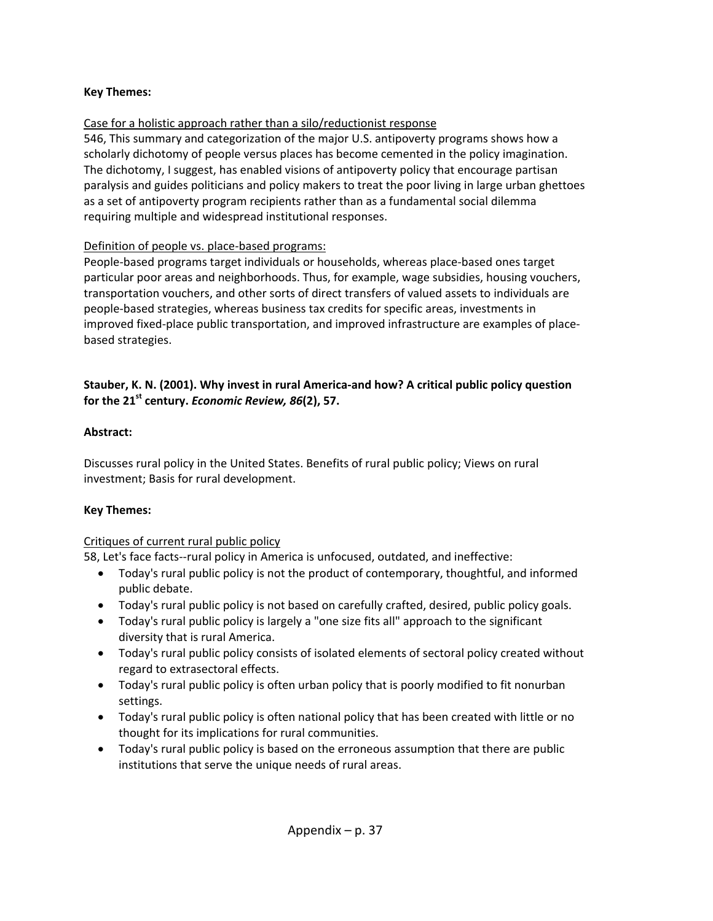#### **Key Themes:**

#### Case for a holistic approach rather than a silo/reductionist response

546, This summary and categorization of the major U.S. antipoverty programs shows how a scholarly dichotomy of people versus places has become cemented in the policy imagination. The dichotomy, I suggest, has enabled visions of antipoverty policy that encourage partisan paralysis and guides politicians and policy makers to treat the poor living in large urban ghettoes as a set of antipoverty program recipients rather than as a fundamental social dilemma requiring multiple and widespread institutional responses.

#### Definition of people vs. place-based programs:

People‐based programs target individuals or households, whereas place‐based ones target particular poor areas and neighborhoods. Thus, for example, wage subsidies, housing vouchers, transportation vouchers, and other sorts of direct transfers of valued assets to individuals are people‐based strategies, whereas business tax credits for specific areas, investments in improved fixed‐place public transportation, and improved infrastructure are examples of place‐ based strategies.

#### **Stauber, K. N. (2001). Why invest in rural America‐and how? A critical public policy question for the 21st century.** *Economic Review, 86***(2), 57.**

#### **Abstract:**

Discusses rural policy in the United States. Benefits of rural public policy; Views on rural investment; Basis for rural development.

#### **Key Themes:**

#### Critiques of current rural public policy

58, Let's face facts‐‐rural policy in America is unfocused, outdated, and ineffective:

- Today's rural public policy is not the product of contemporary, thoughtful, and informed public debate.
- Today's rural public policy is not based on carefully crafted, desired, public policy goals.
- Today's rural public policy is largely a "one size fits all" approach to the significant diversity that is rural America.
- Today's rural public policy consists of isolated elements of sectoral policy created without regard to extrasectoral effects.
- Today's rural public policy is often urban policy that is poorly modified to fit nonurban settings.
- Today's rural public policy is often national policy that has been created with little or no thought for its implications for rural communities.
- Today's rural public policy is based on the erroneous assumption that there are public institutions that serve the unique needs of rural areas.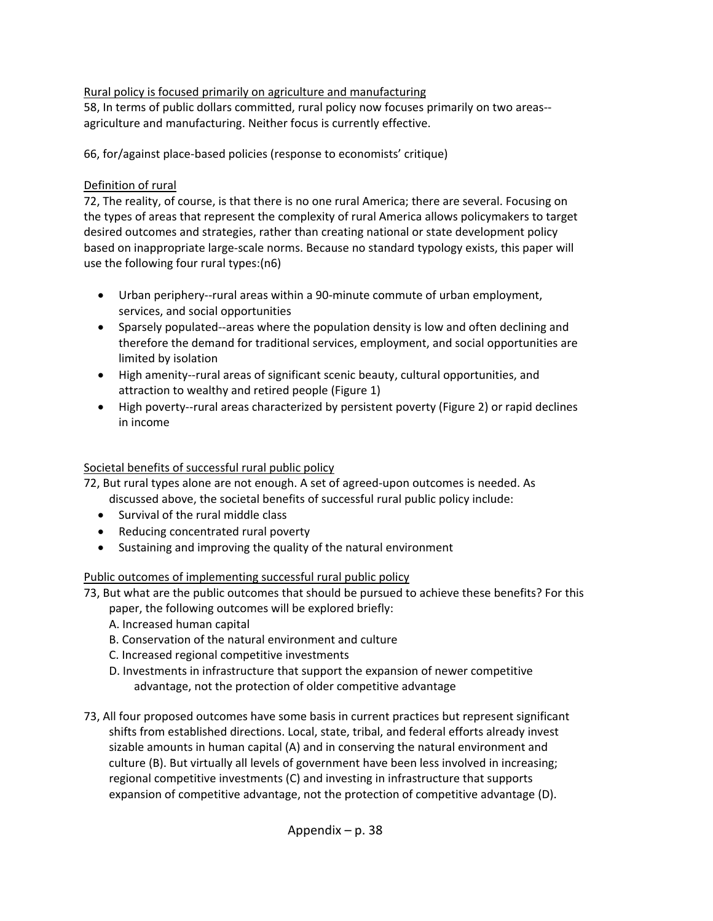## Rural policy is focused primarily on agriculture and manufacturing

58, In terms of public dollars committed, rural policy now focuses primarily on two areas‐‐ agriculture and manufacturing. Neither focus is currently effective.

66, for/against place‐based policies (response to economists' critique)

## Definition of rural

72, The reality, of course, is that there is no one rural America; there are several. Focusing on the types of areas that represent the complexity of rural America allows policymakers to target desired outcomes and strategies, rather than creating national or state development policy based on inappropriate large‐scale norms. Because no standard typology exists, this paper will use the following four rural types:(n6)

- Urban periphery‐‐rural areas within a 90‐minute commute of urban employment, services, and social opportunities
- Sparsely populated--areas where the population density is low and often declining and therefore the demand for traditional services, employment, and social opportunities are limited by isolation
- High amenity‐‐rural areas of significant scenic beauty, cultural opportunities, and attraction to wealthy and retired people (Figure 1)
- High poverty--rural areas characterized by persistent poverty (Figure 2) or rapid declines in income

# Societal benefits of successful rural public policy

72, But rural types alone are not enough. A set of agreed‐upon outcomes is needed. As discussed above, the societal benefits of successful rural public policy include:

- Survival of the rural middle class
- Reducing concentrated rural poverty
- Sustaining and improving the quality of the natural environment

# Public outcomes of implementing successful rural public policy

- 73, But what are the public outcomes that should be pursued to achieve these benefits? For this paper, the following outcomes will be explored briefly:
	- A. Increased human capital
	- B. Conservation of the natural environment and culture
	- C. Increased regional competitive investments
	- D. Investments in infrastructure that support the expansion of newer competitive advantage, not the protection of older competitive advantage
- 73, All four proposed outcomes have some basis in current practices but represent significant shifts from established directions. Local, state, tribal, and federal efforts already invest sizable amounts in human capital (A) and in conserving the natural environment and culture (B). But virtually all levels of government have been less involved in increasing; regional competitive investments (C) and investing in infrastructure that supports expansion of competitive advantage, not the protection of competitive advantage (D).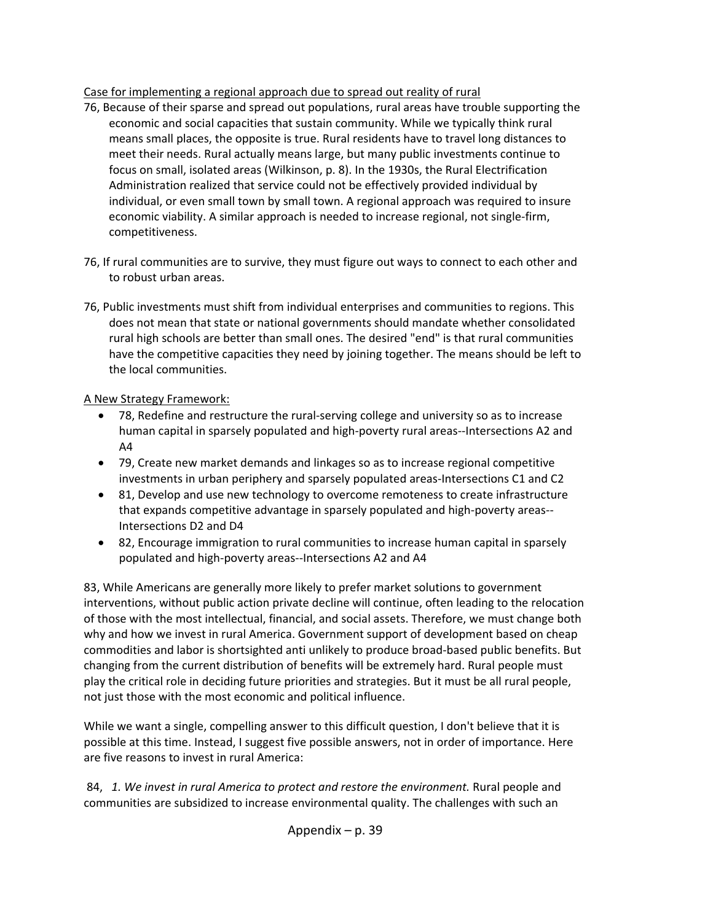#### Case for implementing a regional approach due to spread out reality of rural

- 76, Because of their sparse and spread out populations, rural areas have trouble supporting the economic and social capacities that sustain community. While we typically think rural means small places, the opposite is true. Rural residents have to travel long distances to meet their needs. Rural actually means large, but many public investments continue to focus on small, isolated areas (Wilkinson, p. 8). In the 1930s, the Rural Electrification Administration realized that service could not be effectively provided individual by individual, or even small town by small town. A regional approach was required to insure economic viability. A similar approach is needed to increase regional, not single‐firm, competitiveness.
- 76, If rural communities are to survive, they must figure out ways to connect to each other and to robust urban areas.
- 76, Public investments must shift from individual enterprises and communities to regions. This does not mean that state or national governments should mandate whether consolidated rural high schools are better than small ones. The desired "end" is that rural communities have the competitive capacities they need by joining together. The means should be left to the local communities.

## A New Strategy Framework:

- 78, Redefine and restructure the rural‐serving college and university so as to increase human capital in sparsely populated and high-poverty rural areas--Intersections A2 and A4
- 79, Create new market demands and linkages so as to increase regional competitive investments in urban periphery and sparsely populated areas‐Intersections C1 and C2
- 81, Develop and use new technology to overcome remoteness to create infrastructure that expands competitive advantage in sparsely populated and high‐poverty areas‐‐ Intersections D2 and D4
- 82, Encourage immigration to rural communities to increase human capital in sparsely populated and high‐poverty areas‐‐Intersections A2 and A4

83, While Americans are generally more likely to prefer market solutions to government interventions, without public action private decline will continue, often leading to the relocation of those with the most intellectual, financial, and social assets. Therefore, we must change both why and how we invest in rural America. Government support of development based on cheap commodities and labor is shortsighted anti unlikely to produce broad‐based public benefits. But changing from the current distribution of benefits will be extremely hard. Rural people must play the critical role in deciding future priorities and strategies. But it must be all rural people, not just those with the most economic and political influence.

While we want a single, compelling answer to this difficult question, I don't believe that it is possible at this time. Instead, I suggest five possible answers, not in order of importance. Here are five reasons to invest in rural America:

84, *1. We invest in rural America to protect and restore the environment.* Rural people and communities are subsidized to increase environmental quality. The challenges with such an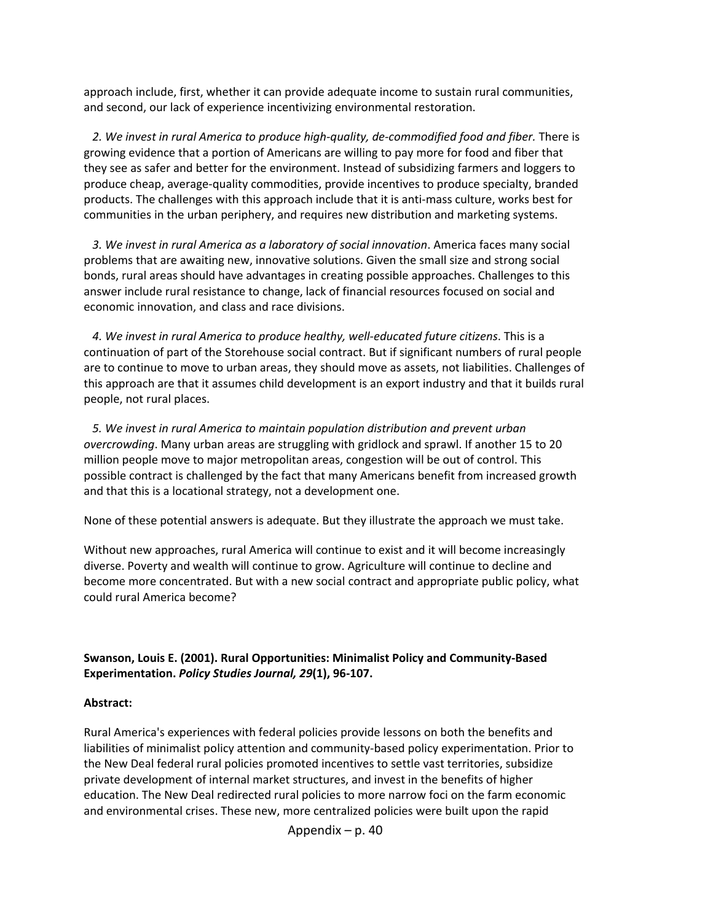approach include, first, whether it can provide adequate income to sustain rural communities, and second, our lack of experience incentivizing environmental restoration.

 *2. We invest in rural America to produce high‐quality, de‐commodified food and fiber.* There is growing evidence that a portion of Americans are willing to pay more for food and fiber that they see as safer and better for the environment. Instead of subsidizing farmers and loggers to produce cheap, average‐quality commodities, provide incentives to produce specialty, branded products. The challenges with this approach include that it is anti‐mass culture, works best for communities in the urban periphery, and requires new distribution and marketing systems.

 *3. We invest in rural America as a laboratory of social innovation*. America faces many social problems that are awaiting new, innovative solutions. Given the small size and strong social bonds, rural areas should have advantages in creating possible approaches. Challenges to this answer include rural resistance to change, lack of financial resources focused on social and economic innovation, and class and race divisions.

 *4. We invest in rural America to produce healthy, well‐educated future citizens*. This is a continuation of part of the Storehouse social contract. But if significant numbers of rural people are to continue to move to urban areas, they should move as assets, not liabilities. Challenges of this approach are that it assumes child development is an export industry and that it builds rural people, not rural places.

 *5. We invest in rural America to maintain population distribution and prevent urban overcrowding*. Many urban areas are struggling with gridlock and sprawl. If another 15 to 20 million people move to major metropolitan areas, congestion will be out of control. This possible contract is challenged by the fact that many Americans benefit from increased growth and that this is a locational strategy, not a development one.

None of these potential answers is adequate. But they illustrate the approach we must take.

Without new approaches, rural America will continue to exist and it will become increasingly diverse. Poverty and wealth will continue to grow. Agriculture will continue to decline and become more concentrated. But with a new social contract and appropriate public policy, what could rural America become?

**Swanson, Louis E. (2001). Rural Opportunities: Minimalist Policy and Community‐Based Experimentation.** *Policy Studies Journal, 29***(1), 96‐107.**

#### **Abstract:**

Rural America's experiences with federal policies provide lessons on both the benefits and liabilities of minimalist policy attention and community‐based policy experimentation. Prior to the New Deal federal rural policies promoted incentives to settle vast territories, subsidize private development of internal market structures, and invest in the benefits of higher education. The New Deal redirected rural policies to more narrow foci on the farm economic and environmental crises. These new, more centralized policies were built upon the rapid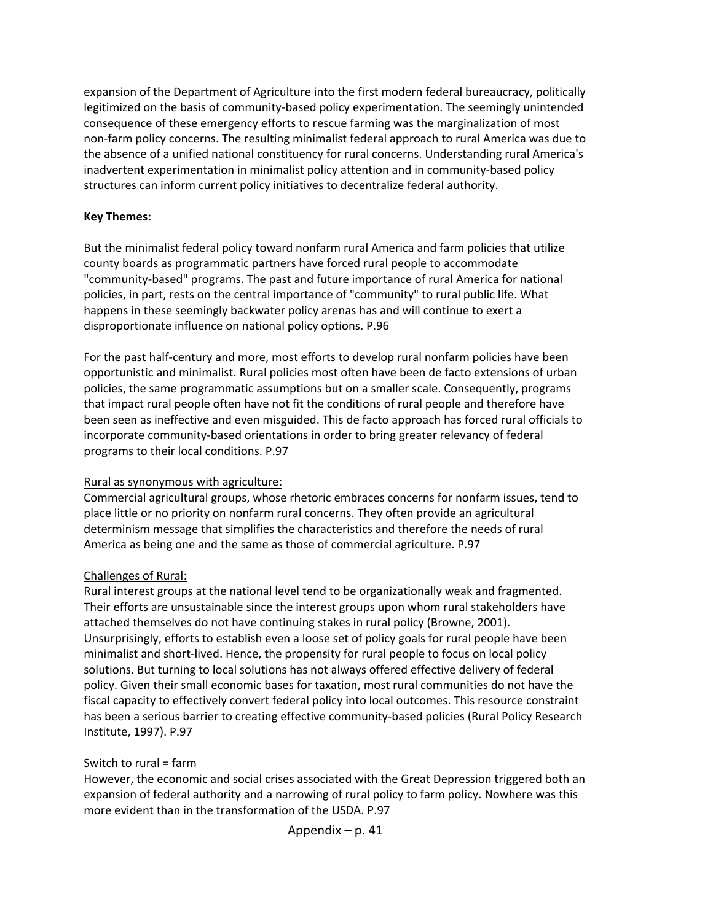expansion of the Department of Agriculture into the first modern federal bureaucracy, politically legitimized on the basis of community‐based policy experimentation. The seemingly unintended consequence of these emergency efforts to rescue farming was the marginalization of most non‐farm policy concerns. The resulting minimalist federal approach to rural America was due to the absence of a unified national constituency for rural concerns. Understanding rural America's inadvertent experimentation in minimalist policy attention and in community‐based policy structures can inform current policy initiatives to decentralize federal authority.

#### **Key Themes:**

But the minimalist federal policy toward nonfarm rural America and farm policies that utilize county boards as programmatic partners have forced rural people to accommodate "community‐based" programs. The past and future importance of rural America for national policies, in part, rests on the central importance of "community" to rural public life. What happens in these seemingly backwater policy arenas has and will continue to exert a disproportionate influence on national policy options. P.96

For the past half-century and more, most efforts to develop rural nonfarm policies have been opportunistic and minimalist. Rural policies most often have been de facto extensions of urban policies, the same programmatic assumptions but on a smaller scale. Consequently, programs that impact rural people often have not fit the conditions of rural people and therefore have been seen as ineffective and even misguided. This de facto approach has forced rural officials to incorporate community‐based orientations in order to bring greater relevancy of federal programs to their local conditions. P.97

# Rural as synonymous with agriculture:

Commercial agricultural groups, whose rhetoric embraces concerns for nonfarm issues, tend to place little or no priority on nonfarm rural concerns. They often provide an agricultural determinism message that simplifies the characteristics and therefore the needs of rural America as being one and the same as those of commercial agriculture. P.97

# Challenges of Rural:

Rural interest groups at the national level tend to be organizationally weak and fragmented. Their efforts are unsustainable since the interest groups upon whom rural stakeholders have attached themselves do not have continuing stakes in rural policy (Browne, 2001). Unsurprisingly, efforts to establish even a loose set of policy goals for rural people have been minimalist and short‐lived. Hence, the propensity for rural people to focus on local policy solutions. But turning to local solutions has not always offered effective delivery of federal policy. Given their small economic bases for taxation, most rural communities do not have the fiscal capacity to effectively convert federal policy into local outcomes. This resource constraint has been a serious barrier to creating effective community-based policies (Rural Policy Research Institute, 1997). P.97

#### Switch to rural = farm

However, the economic and social crises associated with the Great Depression triggered both an expansion of federal authority and a narrowing of rural policy to farm policy. Nowhere was this more evident than in the transformation of the USDA. P.97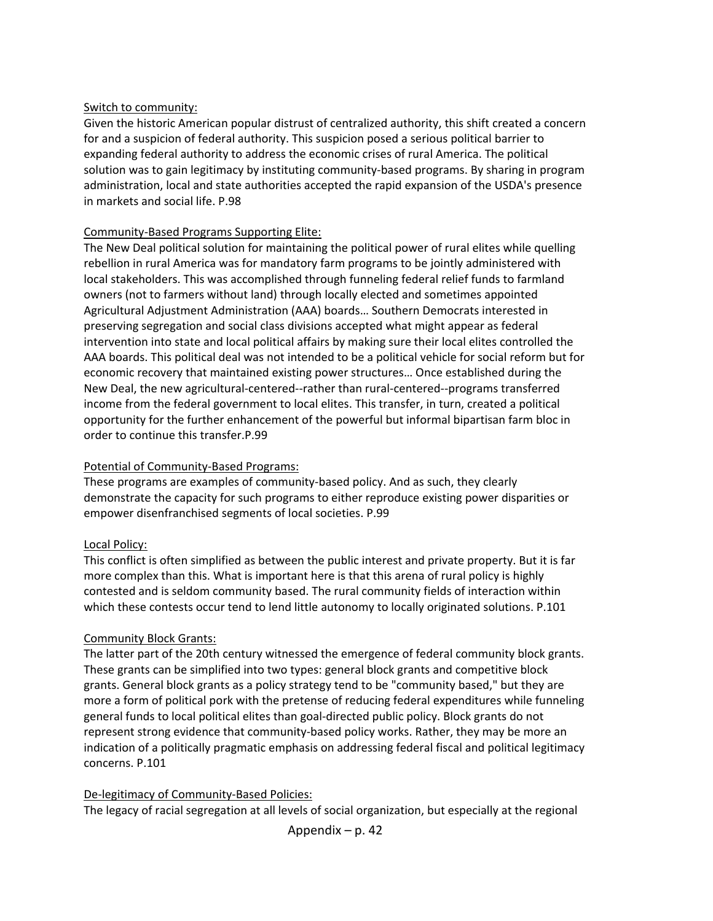#### Switch to community:

Given the historic American popular distrust of centralized authority, this shift created a concern for and a suspicion of federal authority. This suspicion posed a serious political barrier to expanding federal authority to address the economic crises of rural America. The political solution was to gain legitimacy by instituting community-based programs. By sharing in program administration, local and state authorities accepted the rapid expansion of the USDA's presence in markets and social life. P.98

#### Community‐Based Programs Supporting Elite:

The New Deal political solution for maintaining the political power of rural elites while quelling rebellion in rural America was for mandatory farm programs to be jointly administered with local stakeholders. This was accomplished through funneling federal relief funds to farmland owners (not to farmers without land) through locally elected and sometimes appointed Agricultural Adjustment Administration (AAA) boards… Southern Democrats interested in preserving segregation and social class divisions accepted what might appear as federal intervention into state and local political affairs by making sure their local elites controlled the AAA boards. This political deal was not intended to be a political vehicle for social reform but for economic recovery that maintained existing power structures… Once established during the New Deal, the new agricultural‐centered‐‐rather than rural‐centered‐‐programs transferred income from the federal government to local elites. This transfer, in turn, created a political opportunity for the further enhancement of the powerful but informal bipartisan farm bloc in order to continue this transfer.P.99

#### Potential of Community‐Based Programs:

These programs are examples of community‐based policy. And as such, they clearly demonstrate the capacity for such programs to either reproduce existing power disparities or empower disenfranchised segments of local societies. P.99

#### Local Policy:

This conflict is often simplified as between the public interest and private property. But it is far more complex than this. What is important here is that this arena of rural policy is highly contested and is seldom community based. The rural community fields of interaction within which these contests occur tend to lend little autonomy to locally originated solutions. P.101

#### Community Block Grants:

The latter part of the 20th century witnessed the emergence of federal community block grants. These grants can be simplified into two types: general block grants and competitive block grants. General block grants as a policy strategy tend to be "community based," but they are more a form of political pork with the pretense of reducing federal expenditures while funneling general funds to local political elites than goal‐directed public policy. Block grants do not represent strong evidence that community-based policy works. Rather, they may be more an indication of a politically pragmatic emphasis on addressing federal fiscal and political legitimacy concerns. P.101

#### De‐legitimacy of Community‐Based Policies:

The legacy of racial segregation at all levels of social organization, but especially at the regional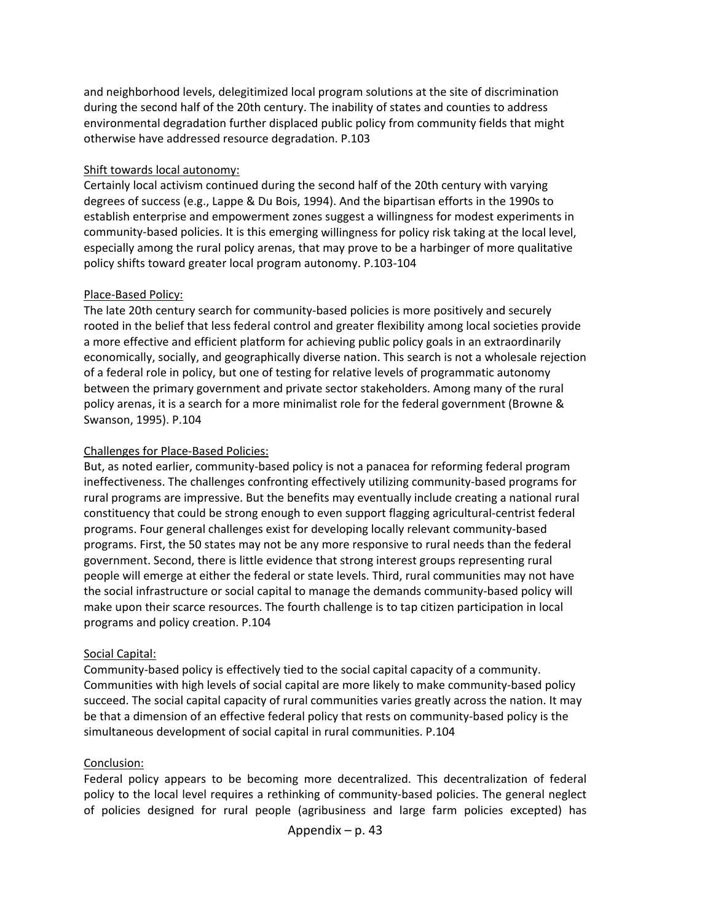and neighborhood levels, delegitimized local program solutions at the site of discrimination during the second half of the 20th century. The inability of states and counties to address environmental degradation further displaced public policy from community fields that might otherwise have addressed resource degradation. P.103

## Shift towards local autonomy:

Certainly local activism continued during the second half of the 20th century with varying degrees of success (e.g., Lappe & Du Bois, 1994). And the bipartisan efforts in the 1990s to establish enterprise and empowerment zones suggest a willingness for modest experiments in community‐based policies. It is this emerging willingness for policy risk taking at the local level, especially among the rural policy arenas, that may prove to be a harbinger of more qualitative policy shifts toward greater local program autonomy. P.103‐104

#### Place‐Based Policy:

The late 20th century search for community-based policies is more positively and securely rooted in the belief that less federal control and greater flexibility among local societies provide a more effective and efficient platform for achieving public policy goals in an extraordinarily economically, socially, and geographically diverse nation. This search is not a wholesale rejection of a federal role in policy, but one of testing for relative levels of programmatic autonomy between the primary government and private sector stakeholders. Among many of the rural policy arenas, it is a search for a more minimalist role for the federal government (Browne & Swanson, 1995). P.104

## Challenges for Place‐Based Policies:

But, as noted earlier, community‐based policy is not a panacea for reforming federal program ineffectiveness. The challenges confronting effectively utilizing community-based programs for rural programs are impressive. But the benefits may eventually include creating a national rural constituency that could be strong enough to even support flagging agricultural‐centrist federal programs. Four general challenges exist for developing locally relevant community‐based programs. First, the 50 states may not be any more responsive to rural needs than the federal government. Second, there is little evidence that strong interest groups representing rural people will emerge at either the federal or state levels. Third, rural communities may not have the social infrastructure or social capital to manage the demands community‐based policy will make upon their scarce resources. The fourth challenge is to tap citizen participation in local programs and policy creation. P.104

# Social Capital:

Community‐based policy is effectively tied to the social capital capacity of a community. Communities with high levels of social capital are more likely to make community‐based policy succeed. The social capital capacity of rural communities varies greatly across the nation. It may be that a dimension of an effective federal policy that rests on community-based policy is the simultaneous development of social capital in rural communities. P.104

#### Conclusion:

Federal policy appears to be becoming more decentralized. This decentralization of federal policy to the local level requires a rethinking of community‐based policies. The general neglect of policies designed for rural people (agribusiness and large farm policies excepted) has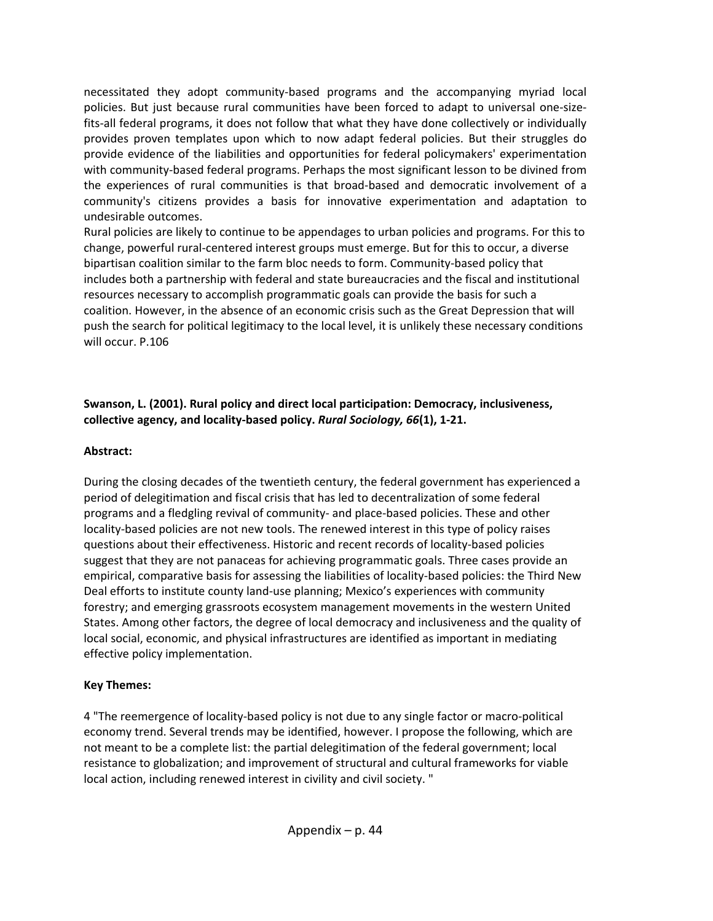necessitated they adopt community‐based programs and the accompanying myriad local policies. But just because rural communities have been forced to adapt to universal one‐size‐ fits‐all federal programs, it does not follow that what they have done collectively or individually provides proven templates upon which to now adapt federal policies. But their struggles do provide evidence of the liabilities and opportunities for federal policymakers' experimentation with community-based federal programs. Perhaps the most significant lesson to be divined from the experiences of rural communities is that broad‐based and democratic involvement of a community's citizens provides a basis for innovative experimentation and adaptation to undesirable outcomes.

Rural policies are likely to continue to be appendages to urban policies and programs. For this to change, powerful rural‐centered interest groups must emerge. But for this to occur, a diverse bipartisan coalition similar to the farm bloc needs to form. Community‐based policy that includes both a partnership with federal and state bureaucracies and the fiscal and institutional resources necessary to accomplish programmatic goals can provide the basis for such a coalition. However, in the absence of an economic crisis such as the Great Depression that will push the search for political legitimacy to the local level, it is unlikely these necessary conditions will occur. P.106

## **Swanson, L. (2001). Rural policy and direct local participation: Democracy, inclusiveness, collective agency, and locality‐based policy.** *Rural Sociology, 66***(1), 1‐21.**

#### **Abstract:**

During the closing decades of the twentieth century, the federal government has experienced a period of delegitimation and fiscal crisis that has led to decentralization of some federal programs and a fledgling revival of community‐ and place‐based policies. These and other locality‐based policies are not new tools. The renewed interest in this type of policy raises questions about their effectiveness. Historic and recent records of locality‐based policies suggest that they are not panaceas for achieving programmatic goals. Three cases provide an empirical, comparative basis for assessing the liabilities of locality-based policies: the Third New Deal efforts to institute county land-use planning; Mexico's experiences with community forestry; and emerging grassroots ecosystem management movements in the western United States. Among other factors, the degree of local democracy and inclusiveness and the quality of local social, economic, and physical infrastructures are identified as important in mediating effective policy implementation.

# **Key Themes:**

4 "The reemergence of locality-based policy is not due to any single factor or macro-political economy trend. Several trends may be identified, however. I propose the following, which are not meant to be a complete list: the partial delegitimation of the federal government; local resistance to globalization; and improvement of structural and cultural frameworks for viable local action, including renewed interest in civility and civil society. "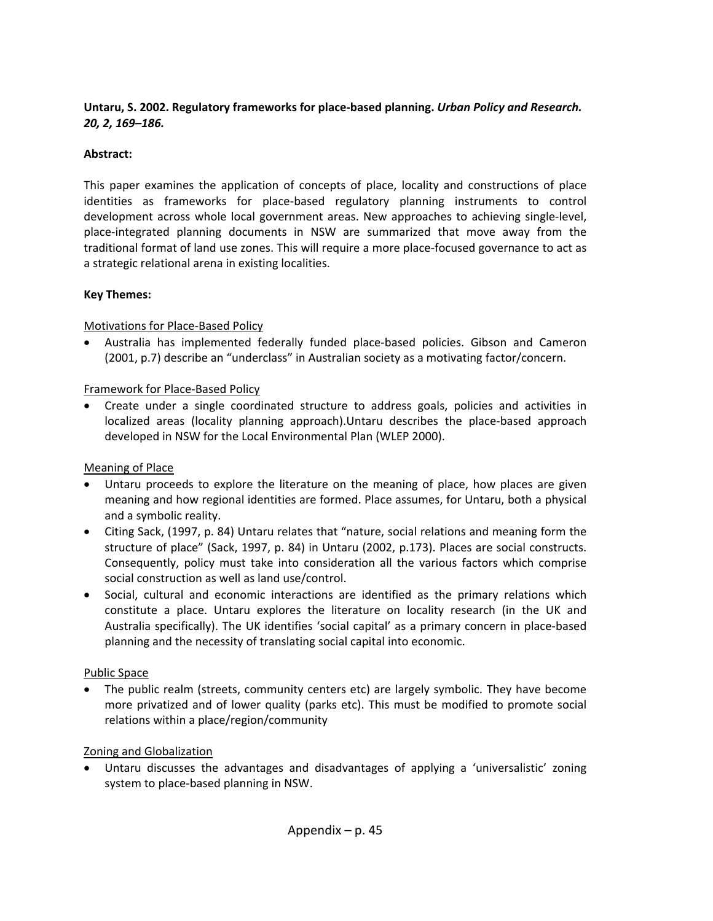## **Untaru, S. 2002. Regulatory frameworks for place‐based planning.** *Urban Policy and Research. 20, 2, 169–186.*

## **Abstract:**

This paper examines the application of concepts of place, locality and constructions of place identities as frameworks for place‐based regulatory planning instruments to control development across whole local government areas. New approaches to achieving single‐level, place‐integrated planning documents in NSW are summarized that move away from the traditional format of land use zones. This will require a more place‐focused governance to act as a strategic relational arena in existing localities.

#### **Key Themes:**

# Motivations for Place‐Based Policy

• Australia has implemented federally funded place‐based policies. Gibson and Cameron (2001, p.7) describe an "underclass" in Australian society as a motivating factor/concern.

## Framework for Place‐Based Policy

• Create under a single coordinated structure to address goals, policies and activities in localized areas (locality planning approach).Untaru describes the place‐based approach developed in NSW for the Local Environmental Plan (WLEP 2000).

## Meaning of Place

- Untaru proceeds to explore the literature on the meaning of place, how places are given meaning and how regional identities are formed. Place assumes, for Untaru, both a physical and a symbolic reality.
- Citing Sack, (1997, p. 84) Untaru relates that "nature, social relations and meaning form the structure of place" (Sack, 1997, p. 84) in Untaru (2002, p.173). Places are social constructs. Consequently, policy must take into consideration all the various factors which comprise social construction as well as land use/control.
- Social, cultural and economic interactions are identified as the primary relations which constitute a place. Untaru explores the literature on locality research (in the UK and Australia specifically). The UK identifies 'social capital' as a primary concern in place‐based planning and the necessity of translating social capital into economic.

# Public Space

• The public realm (streets, community centers etc) are largely symbolic. They have become more privatized and of lower quality (parks etc). This must be modified to promote social relations within a place/region/community

# Zoning and Globalization

• Untaru discusses the advantages and disadvantages of applying a 'universalistic' zoning system to place‐based planning in NSW.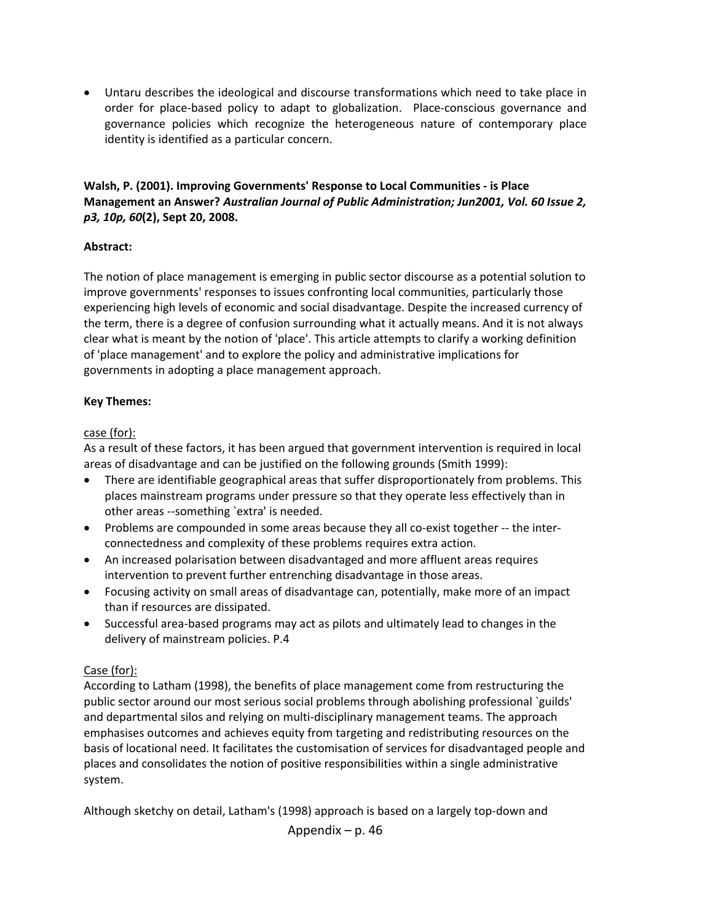• Untaru describes the ideological and discourse transformations which need to take place in order for place-based policy to adapt to globalization. Place-conscious governance and governance policies which recognize the heterogeneous nature of contemporary place identity is identified as a particular concern.

**Walsh, P. (2001). Improving Governments' Response to Local Communities ‐ is Place Management an Answer?** *Australian Journal of Public Administration; Jun2001, Vol. 60 Issue 2, p3, 10p, 60***(2), Sept 20, 2008.**

#### **Abstract:**

The notion of place management is emerging in public sector discourse as a potential solution to improve governments' responses to issues confronting local communities, particularly those experiencing high levels of economic and social disadvantage. Despite the increased currency of the term, there is a degree of confusion surrounding what it actually means. And it is not always clear what is meant by the notion of 'place'. This article attempts to clarify a working definition of 'place management' and to explore the policy and administrative implications for governments in adopting a place management approach.

## **Key Themes:**

#### case (for):

As a result of these factors, it has been argued that government intervention is required in local areas of disadvantage and can be justified on the following grounds (Smith 1999):

- There are identifiable geographical areas that suffer disproportionately from problems. This places mainstream programs under pressure so that they operate less effectively than in other areas ‐‐something `extra' is needed.
- Problems are compounded in some areas because they all co-exist together -- the interconnectedness and complexity of these problems requires extra action.
- An increased polarisation between disadvantaged and more affluent areas requires intervention to prevent further entrenching disadvantage in those areas.
- Focusing activity on small areas of disadvantage can, potentially, make more of an impact than if resources are dissipated.
- Successful area‐based programs may act as pilots and ultimately lead to changes in the delivery of mainstream policies. P.4

# Case (for):

According to Latham (1998), the benefits of place management come from restructuring the public sector around our most serious social problems through abolishing professional `guilds' and departmental silos and relying on multi‐disciplinary management teams. The approach emphasises outcomes and achieves equity from targeting and redistributing resources on the basis of locational need. It facilitates the customisation of services for disadvantaged people and places and consolidates the notion of positive responsibilities within a single administrative system.

Although sketchy on detail, Latham's (1998) approach is based on a largely top‐down and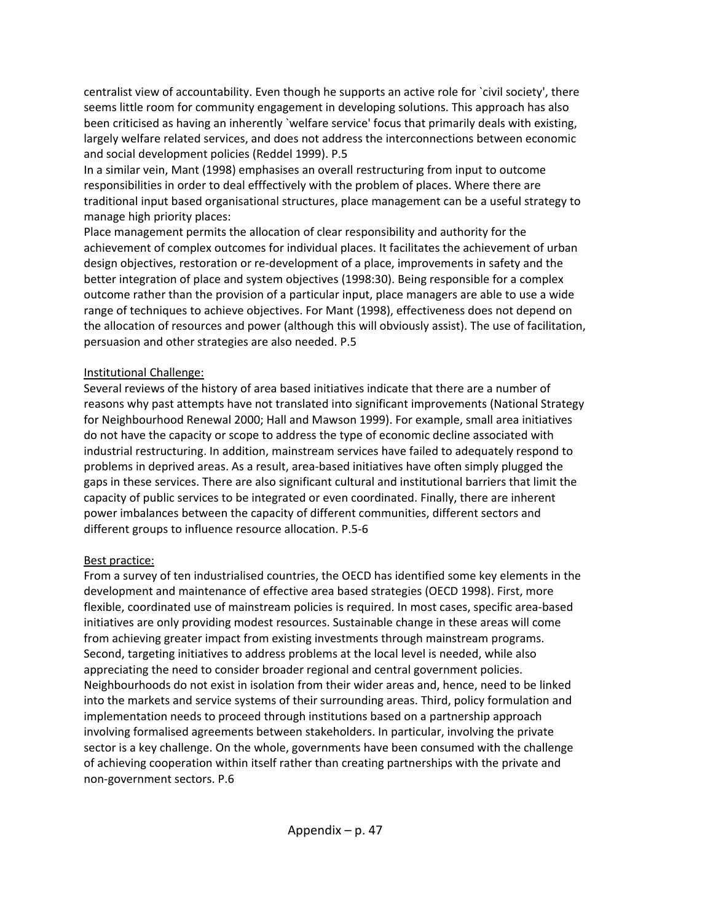centralist view of accountability. Even though he supports an active role for `civil society', there seems little room for community engagement in developing solutions. This approach has also been criticised as having an inherently `welfare service' focus that primarily deals with existing, largely welfare related services, and does not address the interconnections between economic and social development policies (Reddel 1999). P.5

In a similar vein, Mant (1998) emphasises an overall restructuring from input to outcome responsibilities in order to deal efffectively with the problem of places. Where there are traditional input based organisational structures, place management can be a useful strategy to manage high priority places:

Place management permits the allocation of clear responsibility and authority for the achievement of complex outcomes for individual places. It facilitates the achievement of urban design objectives, restoration or re‐development of a place, improvements in safety and the better integration of place and system objectives (1998:30). Being responsible for a complex outcome rather than the provision of a particular input, place managers are able to use a wide range of techniques to achieve objectives. For Mant (1998), effectiveness does not depend on the allocation of resources and power (although this will obviously assist). The use of facilitation, persuasion and other strategies are also needed. P.5

#### Institutional Challenge:

Several reviews of the history of area based initiatives indicate that there are a number of reasons why past attempts have not translated into significant improvements (National Strategy for Neighbourhood Renewal 2000; Hall and Mawson 1999). For example, small area initiatives do not have the capacity or scope to address the type of economic decline associated with industrial restructuring. In addition, mainstream services have failed to adequately respond to problems in deprived areas. As a result, area‐based initiatives have often simply plugged the gaps in these services. There are also significant cultural and institutional barriers that limit the capacity of public services to be integrated or even coordinated. Finally, there are inherent power imbalances between the capacity of different communities, different sectors and different groups to influence resource allocation. P.5‐6

#### Best practice:

From a survey of ten industrialised countries, the OECD has identified some key elements in the development and maintenance of effective area based strategies (OECD 1998). First, more flexible, coordinated use of mainstream policies is required. In most cases, specific area‐based initiatives are only providing modest resources. Sustainable change in these areas will come from achieving greater impact from existing investments through mainstream programs. Second, targeting initiatives to address problems at the local level is needed, while also appreciating the need to consider broader regional and central government policies. Neighbourhoods do not exist in isolation from their wider areas and, hence, need to be linked into the markets and service systems of their surrounding areas. Third, policy formulation and implementation needs to proceed through institutions based on a partnership approach involving formalised agreements between stakeholders. In particular, involving the private sector is a key challenge. On the whole, governments have been consumed with the challenge of achieving cooperation within itself rather than creating partnerships with the private and non‐government sectors. P.6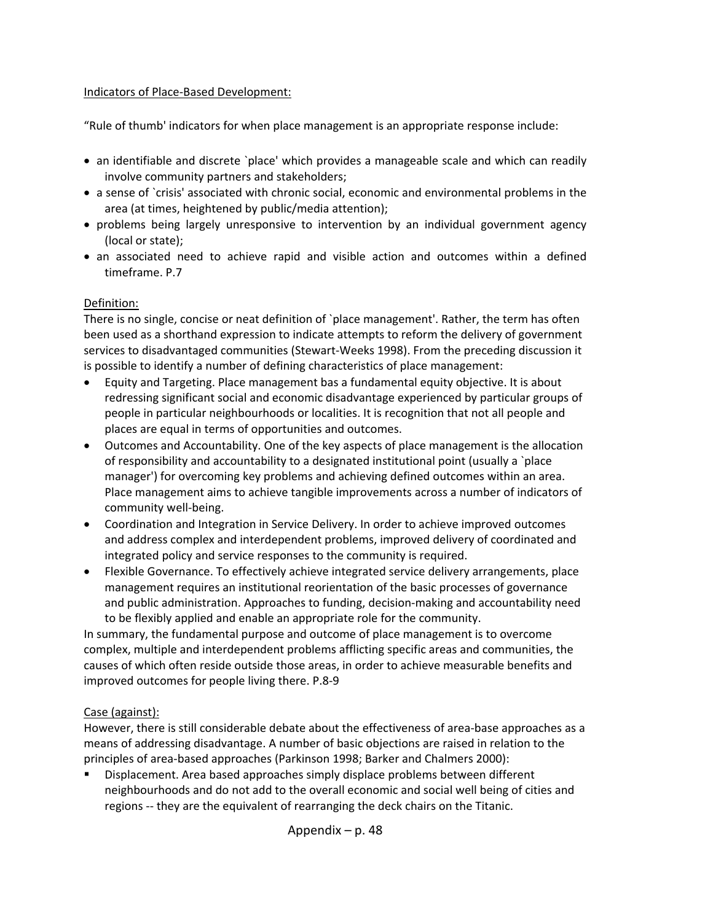#### Indicators of Place‐Based Development:

"Rule of thumb' indicators for when place management is an appropriate response include:

- an identifiable and discrete `place' which provides a manageable scale and which can readily involve community partners and stakeholders;
- a sense of `crisis' associated with chronic social, economic and environmental problems in the area (at times, heightened by public/media attention);
- problems being largely unresponsive to intervention by an individual government agency (local or state);
- an associated need to achieve rapid and visible action and outcomes within a defined timeframe. P.7

## Definition:

There is no single, concise or neat definition of `place management'. Rather, the term has often been used as a shorthand expression to indicate attempts to reform the delivery of government services to disadvantaged communities (Stewart‐Weeks 1998). From the preceding discussion it is possible to identify a number of defining characteristics of place management:

- Equity and Targeting. Place management bas a fundamental equity objective. It is about redressing significant social and economic disadvantage experienced by particular groups of people in particular neighbourhoods or localities. It is recognition that not all people and places are equal in terms of opportunities and outcomes.
- Outcomes and Accountability. One of the key aspects of place management is the allocation of responsibility and accountability to a designated institutional point (usually a `place manager') for overcoming key problems and achieving defined outcomes within an area. Place management aims to achieve tangible improvements across a number of indicators of community well‐being.
- Coordination and Integration in Service Delivery. In order to achieve improved outcomes and address complex and interdependent problems, improved delivery of coordinated and integrated policy and service responses to the community is required.
- Flexible Governance. To effectively achieve integrated service delivery arrangements, place management requires an institutional reorientation of the basic processes of governance and public administration. Approaches to funding, decision‐making and accountability need to be flexibly applied and enable an appropriate role for the community.

In summary, the fundamental purpose and outcome of place management is to overcome complex, multiple and interdependent problems afflicting specific areas and communities, the causes of which often reside outside those areas, in order to achieve measurable benefits and improved outcomes for people living there. P.8‐9

# Case (against):

However, there is still considerable debate about the effectiveness of area‐base approaches as a means of addressing disadvantage. A number of basic objections are raised in relation to the principles of area‐based approaches (Parkinson 1998; Barker and Chalmers 2000):

 Displacement. Area based approaches simply displace problems between different neighbourhoods and do not add to the overall economic and social well being of cities and regions ‐‐ they are the equivalent of rearranging the deck chairs on the Titanic.